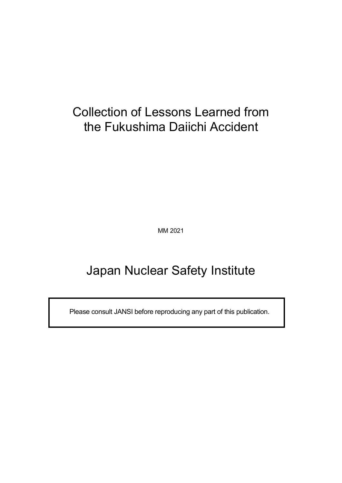# Collection of Lessons Learned from the Fukushima Daiichi Accident

MM 2021

# Japan Nuclear Safety Institute

Please consult JANSI before reproducing any part of this publication.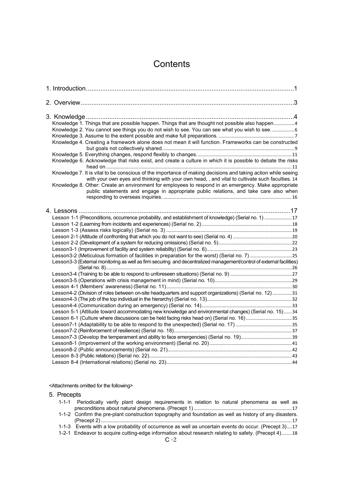## **Contents**

| Knowledge 1. Things that are possible happen. Things that are thought not possible also happen4                                                                                                                  |  |
|------------------------------------------------------------------------------------------------------------------------------------------------------------------------------------------------------------------|--|
| Knowledge 2. You cannot see things you do not wish to see. You can see what you wish to see6                                                                                                                     |  |
|                                                                                                                                                                                                                  |  |
| Knowledge 4. Creating a framework alone does not mean it will function. Frameworks can be constructed                                                                                                            |  |
|                                                                                                                                                                                                                  |  |
| Knowledge 6. Acknowledge that risks exist, and create a culture in which it is possible to debate the risks                                                                                                      |  |
| Knowledge 7. It is vital to be conscious of the importance of making decisions and taking action while seeing<br>with your own eyes and thinking with your own head, , and vital to cultivate such faculties. 14 |  |
| Knowledge 8. Other: Create an environment for employees to respond in an emergency. Make appropriate                                                                                                             |  |
| public statements and engage in appropriate public relations, and take care also when                                                                                                                            |  |
|                                                                                                                                                                                                                  |  |
|                                                                                                                                                                                                                  |  |
| Lesson 1-1 (Preconditions, occurrence probability, and establishment of knowledge) (Serial no. 1) 17                                                                                                             |  |
|                                                                                                                                                                                                                  |  |
|                                                                                                                                                                                                                  |  |
|                                                                                                                                                                                                                  |  |
|                                                                                                                                                                                                                  |  |
|                                                                                                                                                                                                                  |  |
|                                                                                                                                                                                                                  |  |
| Lesson3-3 (External monitoring as well as firm securing and decentralized management/control of external facilities)                                                                                             |  |
|                                                                                                                                                                                                                  |  |
|                                                                                                                                                                                                                  |  |
|                                                                                                                                                                                                                  |  |
|                                                                                                                                                                                                                  |  |
| Lesson4-2 (Division of roles between on-site headquarters and support organizations) (Serial no. 12)31                                                                                                           |  |
|                                                                                                                                                                                                                  |  |
|                                                                                                                                                                                                                  |  |
| Lesson 5-1 (Attitude toward accommodating new knowledge and environmental changes) (Serial no. 15)34                                                                                                             |  |
| Lesson 6-1 (Culture where discussions can be held facing risks head on) (Serial no. 16)35                                                                                                                        |  |
|                                                                                                                                                                                                                  |  |
|                                                                                                                                                                                                                  |  |
|                                                                                                                                                                                                                  |  |
|                                                                                                                                                                                                                  |  |
|                                                                                                                                                                                                                  |  |
|                                                                                                                                                                                                                  |  |
|                                                                                                                                                                                                                  |  |
|                                                                                                                                                                                                                  |  |

## <Attachments omitted for the following>

5. Precepts

|  |  | 1-1-1 Periodically verify plant design requirements in relation to natural phenomena as well as         |  |  |  |  |
|--|--|---------------------------------------------------------------------------------------------------------|--|--|--|--|
|  |  |                                                                                                         |  |  |  |  |
|  |  | 1-1-2 Confirm the pre-plant construction topography and foundation as well as history of any disasters. |  |  |  |  |

- (Precept 2)[..................................................................................................................................................17](#page-25-3)
- 1-1-3 [Events with a low probability of occurrence as well as uncertain events do occur. \(Precept 3\)](#page-25-4)....17
- 1-2-1 [Endeavor to acquire cutting-edge information about research relating to safety. \(Precept 4\)](#page-26-1)........18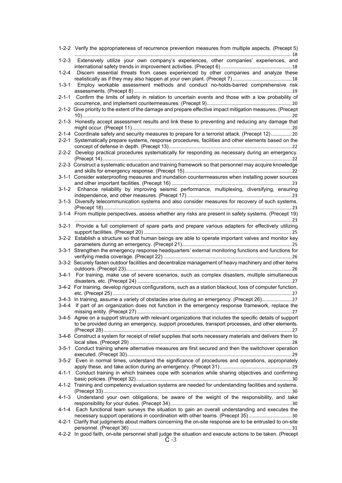|             | 1-2-2 Verify the appropriateness of recurrence prevention measures from multiple aspects. (Precept 5)                                                                                                            |
|-------------|------------------------------------------------------------------------------------------------------------------------------------------------------------------------------------------------------------------|
|             | 1-2-3 Extensively utilize your own company's experiences, other companies' experiences, and                                                                                                                      |
| $1 - 2 - 4$ | Discern essential threats from cases experienced by other companies and analyze these                                                                                                                            |
| $1 - 3 - 1$ | Employ workable assessment methods and conduct no-holds-barred comprehensive risk                                                                                                                                |
| 2-1-1       | Confirm the limits of safety in relation to uncertain events and those with a low probability of                                                                                                                 |
|             | 2-1-2 Give priority to the extent of the damage and prepare effective impact mitigation measures. (Precept                                                                                                       |
|             | 2-1-3 Honestly accept assessment results and link these to preventing and reducing any damage that                                                                                                               |
|             | 2-1-4 Coordinate safety and security measures to prepare for a terrorist attack. (Precept 12)20                                                                                                                  |
|             | 2-2-1 Systematically prepare systems, response procedures, facilities and other elements based on the                                                                                                            |
|             | 2-2-2 Develop practical procedures systematically for responding as necessary during an emergency.                                                                                                               |
|             | 2-2-3 Construct a systematic education and training framework so that personnel may acquire knowledge                                                                                                            |
|             | 3-1-1 Consider waterproofing measures and inundation countermeasures when installing power sources                                                                                                               |
| 3-1-2       | Enhance reliability by improving seismic performance, multiplexing, diversifying, ensuring                                                                                                                       |
| 3-1-3       | Diversify telecommunication systems and also consider measures for recovery of such systems.                                                                                                                     |
|             | 3-1-4 From multiple perspectives, assess whether any risks are present in safety systems. (Precept 19)                                                                                                           |
|             | 3-2-1 Provide a full complement of spare parts and prepare various adapters for effectively utilizing                                                                                                            |
|             | 3-2-2 Establish a structure so that human beings are able to operate important valves and monitor key                                                                                                            |
|             | 3-3-1 Strengthen the emergency response headquarters' external monitoring functions and functions for                                                                                                            |
|             | 3-3-2 Securely fasten outdoor facilities and decentralize management of heavy machinery and other items                                                                                                          |
|             | 3-4-1 For training, make use of severe scenarios, such as complex disasters, multiple simultaneous                                                                                                               |
|             | 3-4-2 For training, develop rigorous configurations, such as a station blackout, loss of computer function,                                                                                                      |
|             | 3-4-3 In training, assume a variety of obstacles arise during an emergency. (Precept 26)27                                                                                                                       |
|             | 3-4-4 If part of an organization does not function in the emergency response framework, replace the                                                                                                              |
|             | 3-4-5 Agree on a support structure with relevant organizations that includes the specific details of support<br>to be provided during an emergency, support procedures, transport processes, and other elements. |
|             | 3-4-6 Construct a system for receipt of relief supplies that sorts necessary materials and delivers them to                                                                                                      |
|             | 3-5-1 Conduct training where alternative measures are first secured and then the switchover operation                                                                                                            |
|             | 3-5-2 Even in normal times, understand the significance of procedures and operations, appropriately                                                                                                              |
|             | 4-1-1 Conduct training in which trainees cope with scenarios while sharing objectives and confirming                                                                                                             |
|             | 4-1-2 Training and competency evaluation systems are needed for understanding facilities and systems.                                                                                                            |
| $4 - 1 - 3$ | Understand your own obligations, be aware of the weight of the responsibility, and take                                                                                                                          |
|             | 4-1-4 Each functional team surveys the situation to gain an overall understanding and executes the<br>necessary support operations in coordination with other teams. (Precept 35)30                              |
|             | 4-2-1 Clarify that judgments about matters concerning the on-site response are to be entrusted to on-site                                                                                                        |
|             | 4-2-2 In good faith, on-site personnel shall judge the situation and execute actions to be taken. (Precept<br>$C - 3$                                                                                            |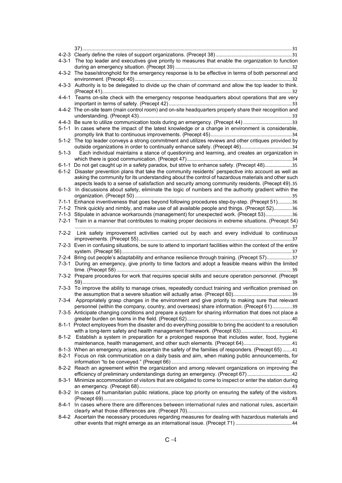| 4-3-1       | The top leader and executives give priority to measures that enable the organization to function               |
|-------------|----------------------------------------------------------------------------------------------------------------|
|             |                                                                                                                |
|             | 4-3-2 The base/stronghold for the emergency response is to be effective in terms of both personnel and         |
| 4-3-3       | Authority is to be delegated to divide up the chain of command and allow the top leader to think.              |
|             | 4-4-1 Teams on-site check with the emergency response headquarters about operations that are very              |
|             | 4-4-2 The on-site team (main control room) and on-site headquarters properly share their recognition and       |
|             |                                                                                                                |
|             | 4-4-3 Be sure to utilize communication tools during an emergency. (Precept 44) 33                              |
|             | 5-1-1 In cases where the impact of the latest knowledge or a change in environment is considerable,            |
|             |                                                                                                                |
|             | 5-1-2 The top leader conveys a strong commitment and utilizes reviews and other critiques provided by          |
|             | outside organizations in order to continually enhance safety. (Precept 46)34                                   |
| $5 - 1 - 3$ | Each individual maintains a stance of questioning and learning, and creates an organization in                 |
|             | 6-1-1 Do not get caught up in a safety paradox, but strive to enhance safety. (Precept 48)35                   |
|             | 6-1-2 Disaster prevention plans that take the community residents' perspective into account as well as         |
|             | asking the community for its understanding about the control of hazardous materials and other such             |
|             | aspects leads to a sense of satisfaction and security among community residents. (Precept 49).35               |
| $6 - 1 - 3$ | In discussions about safety, eliminate the logic of numbers and the authority gradient within the              |
|             | 7-1-1 Enhance inventiveness that goes beyond following procedures step-by-step. (Precept 51)36                 |
|             | 7-1-2 Think quickly and nimbly, and make use of all available people and things. (Precept 52)36                |
|             | 7-1-3 Stipulate in advance workarounds (management) for unexpected work. (Precept 53)36                        |
|             | 7-2-1 Train in a manner that contributes to making proper decisions in extreme situations. (Precept 54)        |
|             |                                                                                                                |
|             | 7-2-2 Link safety improvement activities carried out by each and every individual to continuous                |
|             |                                                                                                                |
|             | 7-2-3 Even in confusing situations, be sure to attend to important facilities within the context of the entire |
|             | 7-2-4 Bring out people's adaptability and enhance resilience through training. (Precept 57)37                  |
| 7-3-1       | During an emergency, give priority to time factors and adopt a feasible means within the limited               |
|             |                                                                                                                |
|             | 7-3-2 Prepare procedures for work that requires special skills and secure operation personnel. (Precept        |
|             | 7-3-3 To improve the ability to manage crises, repeatedly conduct training and verification premised on        |
|             |                                                                                                                |
|             | 7-3-4 Appropriately grasp changes in the environment and give priority to making sure that relevant            |
|             | personnel (within the company, country, and overseas) share information. (Precept 61)39                        |
|             | 7-3-5 Anticipate changing conditions and prepare a system for sharing information that does not place a        |
|             |                                                                                                                |
|             | 8-1-1 Protect employees from the disaster and do everything possible to bring the accident to a resolution     |
|             | 8-1-2 Establish a system in preparation for a prolonged response that includes water, food, hygiene            |
|             | maintenance, health management, and other such elements. (Precept 64)41                                        |
|             | 8-1-3 When an emergency arises, ascertain the safety of the families of responders. (Precept 65) 41            |
|             | 8-2-1 Focus on risk communication on a daily basis and aim, when making public announcements, for              |
|             |                                                                                                                |
|             | 8-2-2 Reach an agreement within the organization and among relevant organizations on improving the             |
|             | efficiency of preliminary understandings during an emergency. (Precept 67) 42                                  |
|             | 8-3-1 Minimize accommodation of visitors that are obligated to come to inspect or enter the station during     |
|             |                                                                                                                |
|             | 8-3-2 In cases of humanitarian public relations, place top priority on ensuring the safety of the visitors.    |
|             |                                                                                                                |
|             | 8-4-1 In cases where there are differences between international rules and national rules, ascertain           |
|             | 8-4-2 Ascertain the necessary procedures regarding measures for dealing with hazardous materials and           |
|             |                                                                                                                |
|             |                                                                                                                |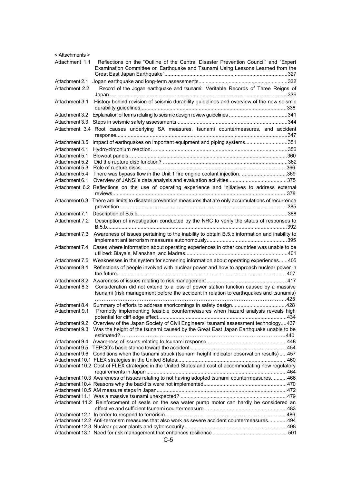| < Attachments > |                                                                                                                                                                               |  |
|-----------------|-------------------------------------------------------------------------------------------------------------------------------------------------------------------------------|--|
| Attachment 1.1  | Reflections on the "Outline of the Central Disaster Prevention Council" and "Expert                                                                                           |  |
|                 | Examination Committee on Earthquake and Tsunami Using Lessons Learned from the                                                                                                |  |
|                 |                                                                                                                                                                               |  |
| Attachment 2.1  |                                                                                                                                                                               |  |
| Attachment 2.2  | Record of the Jogan earthquake and tsunami: Veritable Records of Three Reigns of                                                                                              |  |
| Attachment 3.1  | History behind revision of seismic durability guidelines and overview of the new seismic                                                                                      |  |
| Attachment 3.2  |                                                                                                                                                                               |  |
|                 |                                                                                                                                                                               |  |
|                 | Attachment 3.4 Root causes underlying SA measures, tsunami countermeasures, and accident                                                                                      |  |
| Attachment 3.5  | Impact of earthquakes on important equipment and piping systems351                                                                                                            |  |
| Attachment 4.1  |                                                                                                                                                                               |  |
| Attachment 5.1  |                                                                                                                                                                               |  |
| Attachment 5.2  |                                                                                                                                                                               |  |
| Attachment 5.3  |                                                                                                                                                                               |  |
| Attachment 5.4  | There was bypass flow in the Unit 1 fire engine coolant injection. 369                                                                                                        |  |
| Attachment 6.1  |                                                                                                                                                                               |  |
|                 | Attachment 6.2 Reflections on the use of operating experience and initiatives to address external                                                                             |  |
|                 | Attachment 6.3 There are limits to disaster prevention measures that are only accumulations of recurrence                                                                     |  |
|                 |                                                                                                                                                                               |  |
|                 |                                                                                                                                                                               |  |
| Attachment 7.2  | Description of investigation conducted by the NRC to verify the status of responses to                                                                                        |  |
| Attachment 7.3  | Awareness of issues pertaining to the inability to obtain B.5.b information and inability to                                                                                  |  |
|                 | Attachment 7.4 Cases where information about operating experiences in other countries was unable to be                                                                        |  |
| Attachment 7.5  | Weaknesses in the system for screening information about operating experiences405                                                                                             |  |
| Attachment 8.1  | Reflections of people involved with nuclear power and how to approach nuclear power in                                                                                        |  |
| Attachment 8.2  |                                                                                                                                                                               |  |
| Attachment 8.3  | Consideration did not extend to a loss of power station function caused by a massive<br>tsunami (risk management before the accident in relation to earthquakes and tsunamis) |  |
|                 | Attachment 8.4 Summary of efforts to address shortcomings in safety design428                                                                                                 |  |
|                 | Attachment 9.1 Promptly implementing feasible countermeasures when hazard analysis reveals high                                                                               |  |
|                 |                                                                                                                                                                               |  |
| Attachment 9.2  | Overview of the Japan Society of Civil Engineers' tsunami assessment technology437                                                                                            |  |
|                 | Attachment 9.3 Was the height of the tsunami caused by the Great East Japan Earthquake unable to be                                                                           |  |
|                 |                                                                                                                                                                               |  |
|                 |                                                                                                                                                                               |  |
|                 |                                                                                                                                                                               |  |
|                 | Attachment 9.6 Conditions when the tsunami struck (tsunami height indicator observation results) 457                                                                          |  |
|                 | Attachment 10.2 Cost of FLEX strategies in the United States and cost of accommodating new regulatory                                                                         |  |
|                 |                                                                                                                                                                               |  |
|                 | Attachment 10.3 Awareness of issues relating to not having adopted tsunami countermeasures466                                                                                 |  |
|                 |                                                                                                                                                                               |  |
|                 |                                                                                                                                                                               |  |
|                 | Attachment 11.2 Reinforcement of seals on the sea water pump motor can hardly be considered an                                                                                |  |
|                 |                                                                                                                                                                               |  |
|                 |                                                                                                                                                                               |  |
|                 | Attachment 12.2 Anti-terrorism measures that also work as severe accident countermeasures 494                                                                                 |  |
|                 |                                                                                                                                                                               |  |
|                 |                                                                                                                                                                               |  |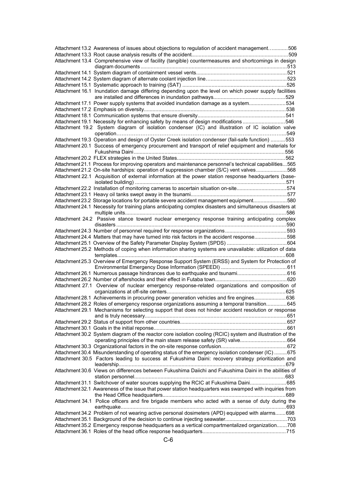| Attachment 13.2 Awareness of issues about objections to regulation of accident management506               |  |
|------------------------------------------------------------------------------------------------------------|--|
|                                                                                                            |  |
| Attachment 13.4 Comprehensive view of facility (tangible) countermeasures and shortcomings in design       |  |
|                                                                                                            |  |
|                                                                                                            |  |
|                                                                                                            |  |
|                                                                                                            |  |
| Attachment 16.1 Inundation damage differing depending upon the level on which power supply facilities      |  |
|                                                                                                            |  |
| Attachment 17.1 Power supply systems that avoided inundation damage as a system534                         |  |
|                                                                                                            |  |
|                                                                                                            |  |
| Attachment 19.1 Necessity for enhancing safety by means of design modifications546                         |  |
| Attachment 19.2 System diagram of isolation condenser (IC) and illustration of IC isolation valve          |  |
|                                                                                                            |  |
| Attachment 19.3 Operation and design of Oyster Creek isolation condenser (fail-safe function) 553          |  |
|                                                                                                            |  |
| Attachment 20.1 Success of emergency procurement and transport of relief equipment and materials for       |  |
|                                                                                                            |  |
|                                                                                                            |  |
| Attachment 21.1 Process for improving operators and maintenance personnel's technical capabilities565      |  |
| Attachment 21.2 On-site hardships: operation of suppression chamber (S/C) vent valves568                   |  |
| Attachment 22.1 Acquisition of external information at the power station response headquarters (base-      |  |
|                                                                                                            |  |
| Attachment 22.2 Installation of monitoring cameras to ascertain situation on-site574                       |  |
|                                                                                                            |  |
| Attachment 23.2 Storage locations for portable severe accident management equipment580                     |  |
| Attachment 24.1 Necessity for training plans anticipating complex disasters and simultaneous disasters at  |  |
|                                                                                                            |  |
| Attachment 24.2 Passive stance toward nuclear emergency response training anticipating complex             |  |
|                                                                                                            |  |
|                                                                                                            |  |
| Attachment 24.4 Matters that may have turned into risk factors in the accident response598                 |  |
|                                                                                                            |  |
|                                                                                                            |  |
|                                                                                                            |  |
| Attachment 25.2 Methods of coping when information sharing systems are unavailable: utilization of data    |  |
|                                                                                                            |  |
| Attachment 25.3 Overview of Emergency Response Support System (ERSS) and System for Protection of          |  |
|                                                                                                            |  |
|                                                                                                            |  |
|                                                                                                            |  |
| Attachment 27.1 Overview of nuclear emergency response-related organizations and composition of            |  |
|                                                                                                            |  |
| Attachment 28.1 Achievements in procuring power generation vehicles and fire engines636                    |  |
| Attachment 28.2 Roles of emergency response organizations assuming a temporal transition 645               |  |
| Attachment 29.1 Mechanisms for selecting support that does not hinder accident resolution or response      |  |
|                                                                                                            |  |
|                                                                                                            |  |
|                                                                                                            |  |
| Attachment 30.2 System diagram of the reactor core isolation cooling (RCIC) system and illustration of the |  |
|                                                                                                            |  |
|                                                                                                            |  |
|                                                                                                            |  |
| Attachment 30.4 Misunderstanding of operating status of the emergency isolation condenser (IC) 675         |  |
| Attachment 30.5 Factors leading to success at Fukushima Daini: recovery strategy prioritization and        |  |
|                                                                                                            |  |
| Attachment 30.6 Views on differences between Fukushima Daiichi and Fukushima Daini in the abilities of     |  |
|                                                                                                            |  |
| Attachment 31.1 Switchover of water sources supplying the RCIC at Fukushima Daini685                       |  |
| Attachment 32.1 Awareness of the issue that power station headquarters was swamped with inquiries from     |  |
|                                                                                                            |  |
| Attachment 34.1 Police officers and fire brigade members who acted with a sense of duty during the         |  |
|                                                                                                            |  |
| Attachment 34.2 Problem of not wearing active personal dosimeters (APD) equipped with alarms 698           |  |
|                                                                                                            |  |
| Attachment 35.2 Emergency response headquarters as a vertical compartmentalized organization 708           |  |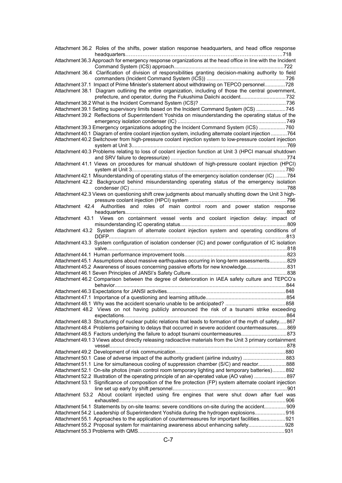| Attachment 36.2 Roles of the shifts, power station response headquarters, and head office response                                                                                               |
|--------------------------------------------------------------------------------------------------------------------------------------------------------------------------------------------------|
| Attachment 36.3 Approach for emergency response organizations at the head office in line with the Incident                                                                                       |
|                                                                                                                                                                                                  |
| Attachment 36.4 Clarification of division of responsibilities granting decision-making authority to field                                                                                        |
| Attachment 37.1 Impact of Prime Minister's statement about withdrawing on TEPCO personnel728                                                                                                     |
| Attachment 38.1 Diagram outlining the entire organization, including of those the central government,                                                                                            |
| prefecture, and operator, during the Fukushima Daiichi accident732                                                                                                                               |
| Attachment 39.1 Setting supervisory limits based on the Incident Command System (ICS) 745                                                                                                        |
| Attachment 39.2 Reflections of Superintendent Yoshida on misunderstanding the operating status of the                                                                                            |
|                                                                                                                                                                                                  |
| Attachment 39.3 Emergency organizations adopting the Incident Command System (ICS) 760                                                                                                           |
| Attachment 40.1 Diagram of entire coolant injection system, including alternate coolant injection 764                                                                                            |
| Attachment 40.2 Switchover from high-pressure coolant injection system to low-pressure coolant injection                                                                                         |
| Attachment 40.3 Problems relating to loss of coolant injection function at Unit 3 (HPCI manual shutdown                                                                                          |
|                                                                                                                                                                                                  |
| Attachment 41.1 Views on procedures for manual shutdown of high-pressure coolant injection (HPCI)                                                                                                |
|                                                                                                                                                                                                  |
| Attachment 42.1 Misunderstanding of operating status of the emergency isolation condenser (IC) 784                                                                                               |
| Attachment 42.2 Background behind misunderstanding operating status of the emergency isolation                                                                                                   |
|                                                                                                                                                                                                  |
| Attachment 42.3 Views on questioning shift crew judgments about manually shutting down the Unit 3 high-                                                                                          |
| Attachment 42.4 Authorities and roles of main control room and power station response                                                                                                            |
|                                                                                                                                                                                                  |
| Attachment 43.1 Views on containment vessel vents and coolant injection delay: impact of                                                                                                         |
|                                                                                                                                                                                                  |
| Attachment 43.2 System diagram of alternate coolant injection system and operating conditions of                                                                                                 |
|                                                                                                                                                                                                  |
| Attachment 43.3 System configuration of isolation condenser (IC) and power configuration of IC isolation                                                                                         |
|                                                                                                                                                                                                  |
| Attachment 45.1 Assumptions about massive earthquakes occurring in long-term assessments 829                                                                                                     |
| Attachment 45.2 Awareness of issues concerning passive efforts for new knowledge831                                                                                                              |
|                                                                                                                                                                                                  |
| Attachment 46.2 Comparison between the degree of deterioration in IAEA safety culture and TEPCO's                                                                                                |
|                                                                                                                                                                                                  |
|                                                                                                                                                                                                  |
|                                                                                                                                                                                                  |
| Attachment 48.2 Views on not having publicly announced the risk of a tsunami strike exceeding                                                                                                    |
|                                                                                                                                                                                                  |
| Attachment 48.3 Structuring of nuclear public relations that leads to formation of the myth of safety867                                                                                         |
| Attachment 48.4 Problems pertaining to delays that occurred in severe accident countermeasures 869                                                                                               |
| Attachment 48.5 Factors underlying the failure to adopt tsunami countermeasures873<br>Attachment 49.1 3 Views about directly releasing radioactive materials from the Unit 3 primary containment |
|                                                                                                                                                                                                  |
|                                                                                                                                                                                                  |
| Attachment 50.1 Case of adverse impact of the authority gradient (airline industry) 883                                                                                                          |
| Attachment 51.1 Line for simultaneous cooling of suppression chamber (S/C) and reactor888                                                                                                        |
| Attachment 52.1 On-site photos (main control room temporary lighting and temporary batteries)892                                                                                                 |
| Attachment 52.2 Illustration of the operating principle of an air-operated value (AO valve) 897                                                                                                  |
| Attachment 53.1 Significance of composition of the fire protection (FP) system alternate coolant injection                                                                                       |
| Attachment 53.2 About coolant injected using fire engines that were shut down after fuel was                                                                                                     |
|                                                                                                                                                                                                  |
| Attachment 54.1 Statements by on-site teams: severe conditions on-site during the accident909                                                                                                    |
| Attachment 54.2 Leadership of Superintendent Yoshida during the hydrogen explosions916                                                                                                           |
| Attachment 55.1 Approaches to the application of countermeasures for important facilities921                                                                                                     |
| Attachment 55.2 Proposal system for maintaining awareness about enhancing safety928                                                                                                              |
|                                                                                                                                                                                                  |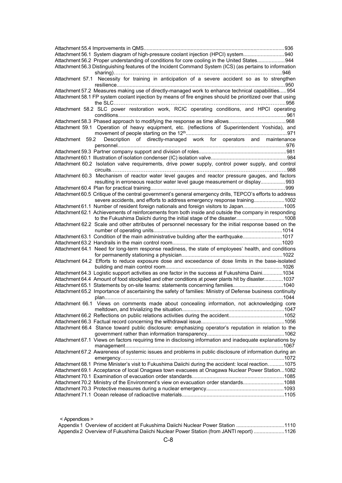| Attachment 56.1 System diagram of high-pressure coolant injection (HPCI) system940                                                                                             |  |
|--------------------------------------------------------------------------------------------------------------------------------------------------------------------------------|--|
| Attachment 56.2 Proper understanding of conditions for core cooling in the United States944                                                                                    |  |
| Attachment 56.3 Distinguishing features of the Incident Command System (ICS) (as pertains to information                                                                       |  |
| Attachment 57.1 Necessity for training in anticipation of a severe accident so as to strengthen                                                                                |  |
| Attachment 57.2 Measures making use of directly-managed work to enhance technical capabilities954                                                                              |  |
| Attachment 58.1 FP system coolant injection by means of fire engines should be prioritized over that using                                                                     |  |
| Attachment 58.2 SLC power restoration work, RCIC operating conditions, and HPCI operating                                                                                      |  |
|                                                                                                                                                                                |  |
| Attachment 59.1 Operation of heavy equipment, etc. (reflections of Superintendent Yoshida), and                                                                                |  |
|                                                                                                                                                                                |  |
| Description of directly-managed work for operators and maintenance<br>Attachment 59.2                                                                                          |  |
|                                                                                                                                                                                |  |
|                                                                                                                                                                                |  |
| Attachment 60.2 Isolation valve requirements, drive power supply, control power supply, and control                                                                            |  |
|                                                                                                                                                                                |  |
| Attachment 60.3 Mechanism of reactor water level gauges and reactor pressure gauges, and factors<br>resulting in erroneous reactor water level gauge measurement or display993 |  |
|                                                                                                                                                                                |  |
| Attachment 60.5 Critique of the central government's general emergency drills, TEPCO's efforts to address                                                                      |  |
| severe accidents, and efforts to address emergency response training1002                                                                                                       |  |
| Attachment 61.1 Number of resident foreign nationals and foreign visitors to Japan1005                                                                                         |  |
|                                                                                                                                                                                |  |
| Attachment 62.1 Achievements of reinforcements from both inside and outside the company in responding<br>to the Fukushima Daiichi during the initial stage of the disaster1008 |  |
| Attachment 62.2 Scale and other attributes of personnel necessary for the initial response based on the                                                                        |  |
|                                                                                                                                                                                |  |
| Attachment 63.1 Condition of the main administrative building after the earthquake1017                                                                                         |  |
|                                                                                                                                                                                |  |
| Attachment 64.1 Need for long-term response readiness, the state of employees' health, and conditions                                                                          |  |
|                                                                                                                                                                                |  |
| Attachment 64.2 Efforts to reduce exposure dose and exceedance of dose limits in the base-isolated                                                                             |  |
|                                                                                                                                                                                |  |
| Attachment 64.3 Logistic support activities as one factor in the success at Fukushima Daini1034                                                                                |  |
| Attachment 64.4 Amount of food stockpiled and other conditions at power plants hit by disaster1037                                                                             |  |
| Attachment 65.1 Statements by on-site teams: statements concerning families1040                                                                                                |  |
| Attachment 65.2 Importance of ascertaining the safety of families: Ministry of Defense business continuity                                                                     |  |
| Attachment 66.1 Views on comments made about concealing information, not acknowledging core                                                                                    |  |
|                                                                                                                                                                                |  |
| Attachment 66.2 Reflections on public relations activities during the accident1052                                                                                             |  |
|                                                                                                                                                                                |  |
|                                                                                                                                                                                |  |
| Attachment 66.4 Stance toward public disclosure: emphasizing operator's reputation in relation to the                                                                          |  |
|                                                                                                                                                                                |  |
| Attachment 67.1 Views on factors requiring time in disclosing information and inadequate explanations by                                                                       |  |
| Attachment 67.2 Awareness of systemic issues and problems in public disclosure of information during an                                                                        |  |
|                                                                                                                                                                                |  |
| Attachment 68.1 Prime Minister's visit to Fukushima Daiichi during the accident: local reaction1075                                                                            |  |
| Attachment 69.1 Acceptance of local Onagawa town evacuees at Onagawa Nuclear Power Station1082                                                                                 |  |
|                                                                                                                                                                                |  |
| Attachment 70.2 Ministry of the Environment's view on evacuation order standards1088                                                                                           |  |
|                                                                                                                                                                                |  |
|                                                                                                                                                                                |  |
|                                                                                                                                                                                |  |

| < Appendices >                                                                          |  |
|-----------------------------------------------------------------------------------------|--|
| Appendix 1 Overview of accident at Fukushima Daiichi Nuclear Power Station 1110         |  |
| Appendix 2 Overview of Fukushima Daiichi Nuclear Power Station (from JANTI report) 1126 |  |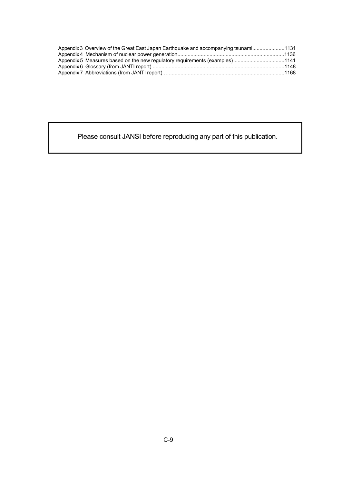| Appendix 3 Overview of the Great East Japan Earthquake and accompanying tsunami1131 |  |
|-------------------------------------------------------------------------------------|--|
|                                                                                     |  |
| Appendix 5 Measures based on the new regulatory requirements (examples)1141         |  |
|                                                                                     |  |
|                                                                                     |  |

Please consult JANSI before reproducing any part of this publication.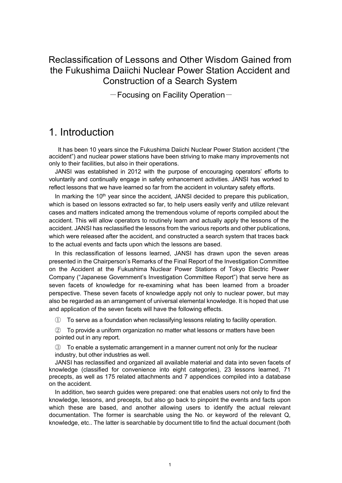Reclassification of Lessons and Other Wisdom Gained from the Fukushima Daiichi Nuclear Power Station Accident and Construction of a Search System

 $-$  Focusing on Facility Operation $-$ 

## <span id="page-9-0"></span>1. Introduction

It has been 10 years since the Fukushima Daiichi Nuclear Power Station accident ("the accident") and nuclear power stations have been striving to make many improvements not only to their facilities, but also in their operations.

JANSI was established in 2012 with the purpose of encouraging operators' efforts to voluntarily and continually engage in safety enhancement activities. JANSI has worked to reflect lessons that we have learned so far from the accident in voluntary safety efforts.

In marking the  $10<sup>th</sup>$  year since the accident, JANSI decided to prepare this publication, which is based on lessons extracted so far, to help users easily verify and utilize relevant cases and matters indicated among the tremendous volume of reports compiled about the accident. This will allow operators to routinely learn and actually apply the lessons of the accident. JANSI has reclassified the lessons from the various reports and other publications, which were released after the accident, and constructed a search system that traces back to the actual events and facts upon which the lessons are based.

In this reclassification of lessons learned, JANSI has drawn upon the seven areas presented in the Chairperson's Remarks of the Final Report of the Investigation Committee on the Accident at the Fukushima Nuclear Power Stations of Tokyo Electric Power Company ("Japanese Government's Investigation Committee Report") that serve here as seven facets of knowledge for re-examining what has been learned from a broader perspective. These seven facets of knowledge apply not only to nuclear power, but may also be regarded as an arrangement of universal elemental knowledge. It is hoped that use and application of the seven facets will have the following effects.

① To serve as a foundation when reclassifying lessons relating to facility operation.

② To provide a uniform organization no matter what lessons or matters have been pointed out in any report.

③ To enable a systematic arrangement in a manner current not only for the nuclear industry, but other industries as well.

JANSI has reclassified and organized all available material and data into seven facets of knowledge (classified for convenience into eight categories), 23 lessons learned, 71 precepts, as well as 175 related attachments and 7 appendices compiled into a database on the accident.

In addition, two search guides were prepared: one that enables users not only to find the knowledge, lessons, and precepts, but also go back to pinpoint the events and facts upon which these are based, and another allowing users to identify the actual relevant documentation. The former is searchable using the No. or keyword of the relevant Q, knowledge, etc.. The latter is searchable by document title to find the actual document (both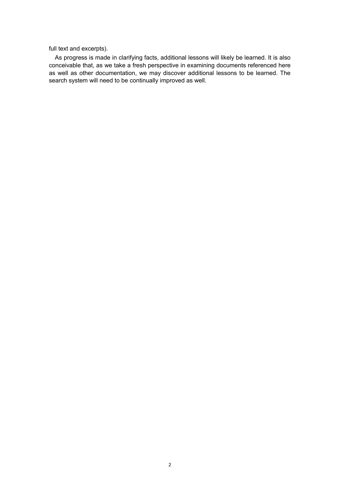full text and excerpts).

As progress is made in clarifying facts, additional lessons will likely be learned. It is also conceivable that, as we take a fresh perspective in examining documents referenced here as well as other documentation, we may discover additional lessons to be learned. The search system will need to be continually improved as well.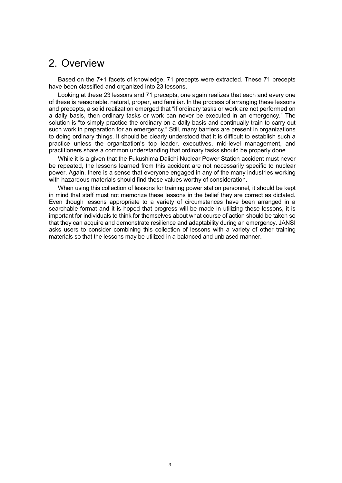## <span id="page-11-0"></span>2. Overview

Based on the 7+1 facets of knowledge, 71 precepts were extracted. These 71 precepts have been classified and organized into 23 lessons.

Looking at these 23 lessons and 71 precepts, one again realizes that each and every one of these is reasonable, natural, proper, and familiar. In the process of arranging these lessons and precepts, a solid realization emerged that "if ordinary tasks or work are not performed on a daily basis, then ordinary tasks or work can never be executed in an emergency." The solution is "to simply practice the ordinary on a daily basis and continually train to carry out such work in preparation for an emergency." Still, many barriers are present in organizations to doing ordinary things. It should be clearly understood that it is difficult to establish such a practice unless the organization's top leader, executives, mid-level management, and practitioners share a common understanding that ordinary tasks should be properly done.

While it is a given that the Fukushima Daiichi Nuclear Power Station accident must never be repeated, the lessons learned from this accident are not necessarily specific to nuclear power. Again, there is a sense that everyone engaged in any of the many industries working with hazardous materials should find these values worthy of consideration.

When using this collection of lessons for training power station personnel, it should be kept in mind that staff must not memorize these lessons in the belief they are correct as dictated. Even though lessons appropriate to a variety of circumstances have been arranged in a searchable format and it is hoped that progress will be made in utilizing these lessons, it is important for individuals to think for themselves about what course of action should be taken so that they can acquire and demonstrate resilience and adaptability during an emergency. JANSI asks users to consider combining this collection of lessons with a variety of other training materials so that the lessons may be utilized in a balanced and unbiased manner.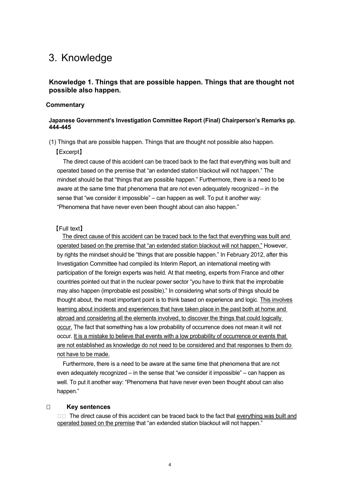## <span id="page-12-0"></span>3. Knowledge

## <span id="page-12-1"></span>**Knowledge 1. Things that are possible happen. Things that are thought not possible also happen.**

#### **Commentary**

#### **Japanese Government's Investigation Committee Report (Final) Chairperson's Remarks pp. 444-445**

(1) Things that are possible happen. Things that are thought not possible also happen.

#### 【Excerpt】

The direct cause of this accident can be traced back to the fact that everything was built and operated based on the premise that "an extended station blackout will not happen." The mindset should be that "things that are possible happen." Furthermore, there is a need to be aware at the same time that phenomena that are not even adequately recognized – in the sense that "we consider it impossible" – can happen as well. To put it another way: "Phenomena that have never even been thought about can also happen."

#### 【Full text】

The direct cause of this accident can be traced back to the fact that everything was built and operated based on the premise that "an extended station blackout will not happen." However, by rights the mindset should be "things that are possible happen." In February 2012, after this Investigation Committee had compiled its Interim Report, an international meeting with participation of the foreign experts was held. At that meeting, experts from France and other countries pointed out that in the nuclear power sector "you have to think that the improbable may also happen (improbable est possible)." In considering what sorts of things should be thought about, the most important point is to think based on experience and logic. This involves learning about incidents and experiences that have taken place in the past both at home and abroad and considering all the elements involved, to discover the things that could logically occur. The fact that something has a low probability of occurrence does not mean it will not occur. It is a mistake to believe that events with a low probability of occurrence or events that are not established as knowledge do not need to be considered and that responses to them do not have to be made.

Furthermore, there is a need to be aware at the same time that phenomena that are not even adequately recognized – in the sense that "we consider it impossible" – can happen as well. To put it another way: "Phenomena that have never even been thought about can also happen."

#### **Key sentences**

 $\square$  The direct cause of this accident can be traced back to the fact that everything was built and operated based on the premise that "an extended station blackout will not happen."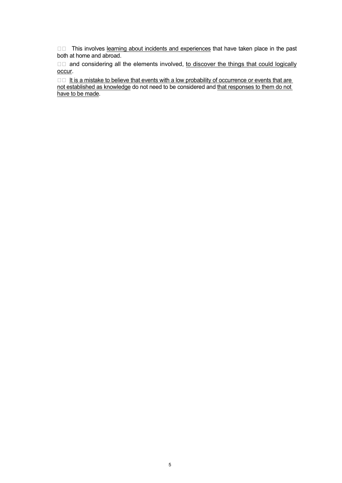□□ This involves learning about incidents and experiences that have taken place in the past both at home and abroad.

 $\square$  and considering all the elements involved, to discover the things that could logically occur.

 $\square \square$  It is a mistake to believe that events with a low probability of occurrence or events that are not established as knowledge do not need to be considered and that responses to them do not have to be made.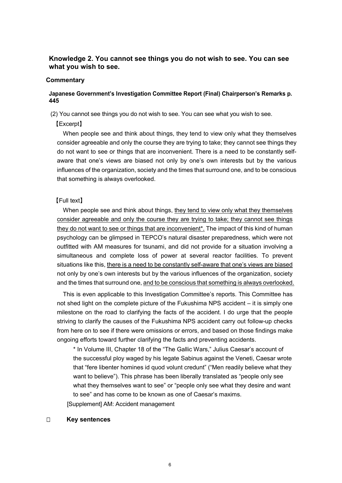## <span id="page-14-0"></span>**Knowledge 2. You cannot see things you do not wish to see. You can see what you wish to see.**

#### **Commentary**

## **Japanese Government's Investigation Committee Report (Final) Chairperson's Remarks p. 445**

(2) You cannot see things you do not wish to see. You can see what you wish to see.

#### 【Excerpt】

When people see and think about things, they tend to view only what they themselves consider agreeable and only the course they are trying to take; they cannot see things they do not want to see or things that are inconvenient. There is a need to be constantly selfaware that one's views are biased not only by one's own interests but by the various influences of the organization, society and the times that surround one, and to be conscious that something is always overlooked.

#### 【Full text】

When people see and think about things, they tend to view only what they themselves consider agreeable and only the course they are trying to take; they cannot see things they do not want to see or things that are inconvenient<sup>\*</sup>. The impact of this kind of human psychology can be glimpsed in TEPCO's natural disaster preparedness, which were not outfitted with AM measures for tsunami, and did not provide for a situation involving a simultaneous and complete loss of power at several reactor facilities. To prevent situations like this, there is a need to be constantly self-aware that one's views are biased not only by one's own interests but by the various influences of the organization, society and the times that surround one, and to be conscious that something is always overlooked.

This is even applicable to this Investigation Committee's reports. This Committee has not shed light on the complete picture of the Fukushima NPS accident – it is simply one milestone on the road to clarifying the facts of the accident. I do urge that the people striving to clarify the causes of the Fukushima NPS accident carry out follow-up checks from here on to see if there were omissions or errors, and based on those findings make ongoing efforts toward further clarifying the facts and preventing accidents.

\* In Volume III, Chapter 18 of the "The Gallic Wars," Julius Caesar's account of the successful ploy waged by his legate Sabinus against the Veneti, Caesar wrote that "fere libenter homines id quod volunt credunt" ("Men readily believe what they want to believe"). This phrase has been liberally translated as "people only see what they themselves want to see" or "people only see what they desire and want to see" and has come to be known as one of Caesar's maxims.

[Supplement] AM: Accident management

#### **Key sentences**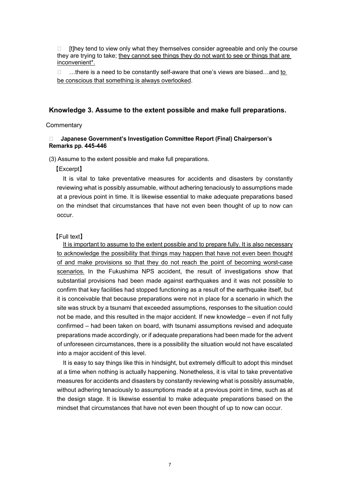$\Box$  [t]hey tend to view only what they themselves consider agreeable and only the course they are trying to take; they cannot see things they do not want to see or things that are inconvenient\*.

 $\Box$  ...there is a need to be constantly self-aware that one's views are biased...and to be conscious that something is always overlooked.

## <span id="page-15-0"></span>**Knowledge 3. Assume to the extent possible and make full preparations.**

#### **Commentary**

#### **Japanese Government's Investigation Committee Report (Final) Chairperson's Remarks pp. 445-446**

(3) Assume to the extent possible and make full preparations.

#### 【Excerpt】

It is vital to take preventative measures for accidents and disasters by constantly reviewing what is possibly assumable, without adhering tenaciously to assumptions made at a previous point in time. It is likewise essential to make adequate preparations based on the mindset that circumstances that have not even been thought of up to now can occur.

【Full text】

It is important to assume to the extent possible and to prepare fully. It is also necessary to acknowledge the possibility that things may happen that have not even been thought of and make provisions so that they do not reach the point of becoming worst-case scenarios. In the Fukushima NPS accident, the result of investigations show that substantial provisions had been made against earthquakes and it was not possible to confirm that key facilities had stopped functioning as a result of the earthquake itself, but it is conceivable that because preparations were not in place for a scenario in which the site was struck by a tsunami that exceeded assumptions, responses to the situation could not be made, and this resulted in the major accident. If new knowledge – even if not fully confirmed – had been taken on board, with tsunami assumptions revised and adequate preparations made accordingly, or if adequate preparations had been made for the advent of unforeseen circumstances, there is a possibility the situation would not have escalated into a major accident of this level.

It is easy to say things like this in hindsight, but extremely difficult to adopt this mindset at a time when nothing is actually happening. Nonetheless, it is vital to take preventative measures for accidents and disasters by constantly reviewing what is possibly assumable, without adhering tenaciously to assumptions made at a previous point in time, such as at the design stage. It is likewise essential to make adequate preparations based on the mindset that circumstances that have not even been thought of up to now can occur.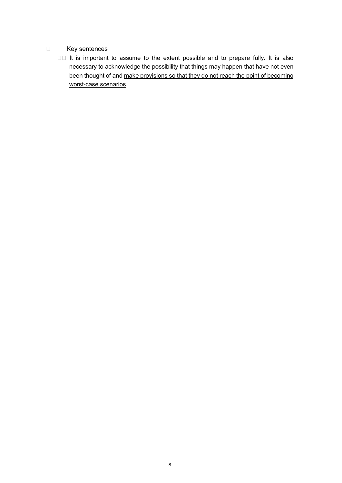- D Key sentences
	- □□ It is important to assume to the extent possible and to prepare fully. It is also necessary to acknowledge the possibility that things may happen that have not even been thought of and make provisions so that they do not reach the point of becoming worst-case scenarios.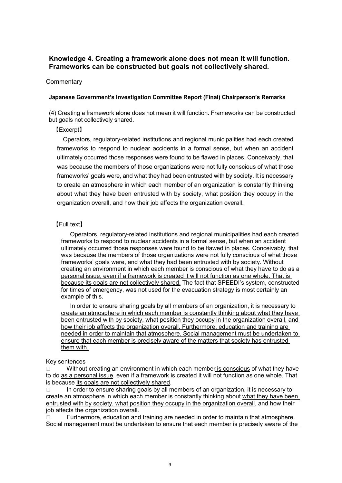## <span id="page-17-0"></span>**Knowledge 4. Creating a framework alone does not mean it will function. Frameworks can be constructed but goals not collectively shared.**

### **Commentary**

#### **Japanese Government's Investigation Committee Report (Final) Chairperson's Remarks**

(4) Creating a framework alone does not mean it will function. Frameworks can be constructed but goals not collectively shared.

## 【Excerpt】

Operators, regulatory-related institutions and regional municipalities had each created frameworks to respond to nuclear accidents in a formal sense, but when an accident ultimately occurred those responses were found to be flawed in places. Conceivably, that was because the members of those organizations were not fully conscious of what those frameworks' goals were, and what they had been entrusted with by society. It is necessary to create an atmosphere in which each member of an organization is constantly thinking about what they have been entrusted with by society, what position they occupy in the organization overall, and how their job affects the organization overall.

## 【Full text】

Operators, regulatory-related institutions and regional municipalities had each created frameworks to respond to nuclear accidents in a formal sense, but when an accident ultimately occurred those responses were found to be flawed in places. Conceivably, that was because the members of those organizations were not fully conscious of what those frameworks' goals were, and what they had been entrusted with by society. Without creating an environment in which each member is conscious of what they have to do as a personal issue, even if a framework is created it will not function as one whole. That is because its goals are not collectively shared. The fact that SPEEDI's system, constructed for times of emergency, was not used for the evacuation strategy is most certainly an example of this.

In order to ensure sharing goals by all members of an organization, it is necessary to create an atmosphere in which each member is constantly thinking about what they have been entrusted with by society, what position they occupy in the organization overall, and how their job affects the organization overall. Furthermore, education and training are needed in order to maintain that atmosphere. Social management must be undertaken to ensure that each member is precisely aware of the matters that society has entrusted them with.

#### Key sentences

 Without creating an environment in which each member is conscious of what they have to do as a personal issue, even if a framework is created it will not function as one whole. That is because its goals are not collectively shared.

 $\Box$  In order to ensure sharing goals by all members of an organization, it is necessary to create an atmosphere in which each member is constantly thinking about what they have been entrusted with by society, what position they occupy in the organization overall, and how their job affects the organization overall.

 Furthermore, education and training are needed in order to maintain that atmosphere. Social management must be undertaken to ensure that each member is precisely aware of the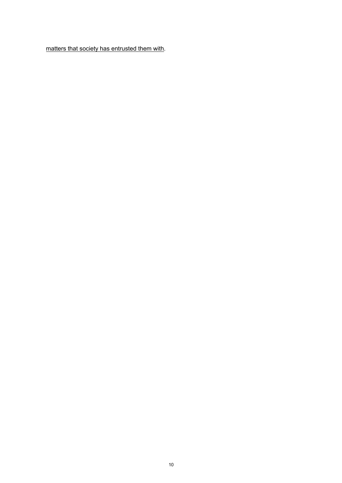matters that society has entrusted them with.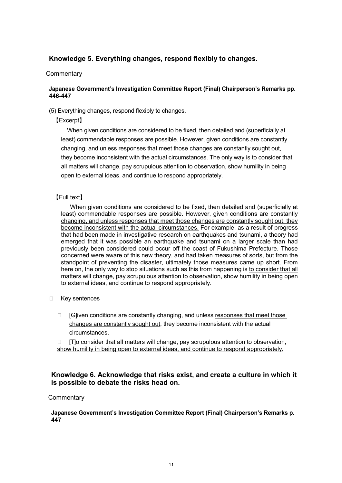## <span id="page-19-0"></span>**Knowledge 5. Everything changes, respond flexibly to changes.**

### **Commentary**

### **Japanese Government's Investigation Committee Report (Final) Chairperson's Remarks pp. 446-447**

(5) Everything changes, respond flexibly to changes.

## 【Excerpt】

When given conditions are considered to be fixed, then detailed and (superficially at least) commendable responses are possible. However, given conditions are constantly changing, and unless responses that meet those changes are constantly sought out, they become inconsistent with the actual circumstances. The only way is to consider that all matters will change, pay scrupulous attention to observation, show humility in being open to external ideas, and continue to respond appropriately.

## 【Full text】

When given conditions are considered to be fixed, then detailed and (superficially at least) commendable responses are possible. However, given conditions are constantly changing, and unless responses that meet those changes are constantly sought out, they become inconsistent with the actual circumstances. For example, as a result of progress that had been made in investigative research on earthquakes and tsunami, a theory had emerged that it was possible an earthquake and tsunami on a larger scale than had previously been considered could occur off the coast of Fukushima Prefecture. Those concerned were aware of this new theory, and had taken measures of sorts, but from the standpoint of preventing the disaster, ultimately those measures came up short. From here on, the only way to stop situations such as this from happening is to consider that all matters will change, pay scrupulous attention to observation, show humility in being open to external ideas, and continue to respond appropriately.

- □ Key sentences
	- $\Box$  [G]iven conditions are constantly changing, and unless responses that meet those changes are constantly sought out, they become inconsistent with the actual circumstances.

 $\Box$  [T]o consider that all matters will change, pay scrupulous attention to observation, show humility in being open to external ideas, and continue to respond appropriately.

## <span id="page-19-1"></span>**Knowledge 6. Acknowledge that risks exist, and create a culture in which it is possible to debate the risks head on.**

## **Commentary**

**Japanese Government's Investigation Committee Report (Final) Chairperson's Remarks p. 447**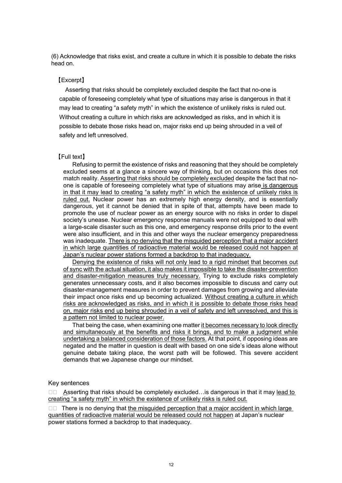(6) Acknowledge that risks exist, and create a culture in which it is possible to debate the risks head on.

## 【Excerpt】

Asserting that risks should be completely excluded despite the fact that no-one is capable of foreseeing completely what type of situations may arise is dangerous in that it may lead to creating "a safety myth" in which the existence of unlikely risks is ruled out. Without creating a culture in which risks are acknowledged as risks, and in which it is possible to debate those risks head on, major risks end up being shrouded in a veil of safety and left unresolved.

#### 【Full text】

Refusing to permit the existence of risks and reasoning that they should be completely excluded seems at a glance a sincere way of thinking, but on occasions this does not match reality. Asserting that risks should be completely excluded despite the fact that noone is capable of foreseeing completely what type of situations may arise is dangerous in that it may lead to creating "a safety myth" in which the existence of unlikely risks is ruled out. Nuclear power has an extremely high energy density, and is essentially dangerous, yet it cannot be denied that in spite of that, attempts have been made to promote the use of nuclear power as an energy source with no risks in order to dispel society's unease. Nuclear emergency response manuals were not equipped to deal with a large-scale disaster such as this one, and emergency response drills prior to the event were also insufficient, and in this and other ways the nuclear emergency preparedness was inadequate. There is no denying that the misguided perception that a major accident in which large quantities of radioactive material would be released could not happen at Japan's nuclear power stations formed a backdrop to that inadequacy.

Denying the existence of risks will not only lead to a rigid mindset that becomes out of sync with the actual situation, it also makes it impossible to take the disaster-prevention and disaster-mitigation measures truly necessary. Trying to exclude risks completely generates unnecessary costs, and it also becomes impossible to discuss and carry out disaster-management measures in order to prevent damages from growing and alleviate their impact once risks end up becoming actualized. Without creating a culture in which risks are acknowledged as risks, and in which it is possible to debate those risks head on, major risks end up being shrouded in a veil of safety and left unresolved, and this is a pattern not limited to nuclear power.

That being the case, when examining one matter it becomes necessary to look directly and simultaneously at the benefits and risks it brings, and to make a judgment while undertaking a balanced consideration of those factors. At that point, if opposing ideas are negated and the matter in question is dealt with based on one side's ideas alone without genuine debate taking place, the worst path will be followed. This severe accident demands that we Japanese change our mindset.

#### Key sentences

 $\square \square$  Asserting that risks should be completely excluded... is dangerous in that it may lead to creating "a safety myth" in which the existence of unlikely risks is ruled out.

 $\square$  There is no denying that the misguided perception that a major accident in which large quantities of radioactive material would be released could not happen at Japan's nuclear power stations formed a backdrop to that inadequacy.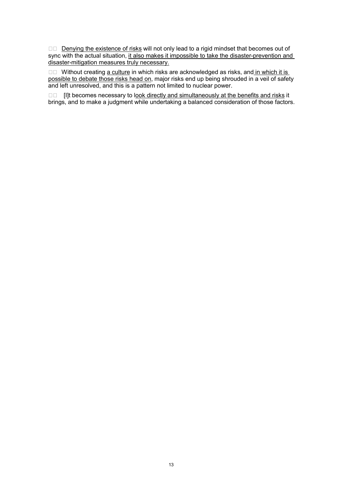Denying the existence of risks will not only lead to a rigid mindset that becomes out of sync with the actual situation, it also makes it impossible to take the disaster-prevention and disaster-mitigation measures truly necessary.

□□ Without creating a culture in which risks are acknowledged as risks, and in which it is possible to debate those risks head on, major risks end up being shrouded in a veil of safety and left unresolved, and this is a pattern not limited to nuclear power.

 $\square$  [I]t becomes necessary to look directly and simultaneously at the benefits and risks it brings, and to make a judgment while undertaking a balanced consideration of those factors.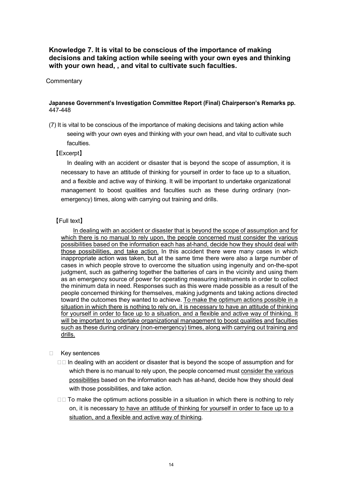<span id="page-22-0"></span>**Knowledge 7. It is vital to be conscious of the importance of making decisions and taking action while seeing with your own eyes and thinking with your own head, , and vital to cultivate such faculties.**

#### **Commentary**

#### **Japanese Government's Investigation Committee Report (Final) Chairperson's Remarks pp.**  447-448

(7) It is vital to be conscious of the importance of making decisions and taking action while seeing with your own eyes and thinking with your own head, and vital to cultivate such faculties.

#### 【Excerpt】

In dealing with an accident or disaster that is beyond the scope of assumption, it is necessary to have an attitude of thinking for yourself in order to face up to a situation, and a flexible and active way of thinking. It will be important to undertake organizational management to boost qualities and faculties such as these during ordinary (nonemergency) times, along with carrying out training and drills.

#### 【Full text】

In dealing with an accident or disaster that is beyond the scope of assumption and for which there is no manual to rely upon, the people concerned must consider the various possibilities based on the information each has at-hand, decide how they should deal with those possibilities, and take action. In this accident there were many cases in which inappropriate action was taken, but at the same time there were also a large number of cases in which people strove to overcome the situation using ingenuity and on-the-spot judgment, such as gathering together the batteries of cars in the vicinity and using them as an emergency source of power for operating measuring instruments in order to collect the minimum data in need. Responses such as this were made possible as a result of the people concerned thinking for themselves, making judgments and taking actions directed toward the outcomes they wanted to achieve. To make the optimum actions possible in a situation in which there is nothing to rely on, it is necessary to have an attitude of thinking for yourself in order to face up to a situation, and a flexible and active way of thinking. It will be important to undertake organizational management to boost qualities and faculties such as these during ordinary (non-emergency) times, along with carrying out training and drills.

#### □ Key sentences

- $\Box$  In dealing with an accident or disaster that is beyond the scope of assumption and for which there is no manual to rely upon, the people concerned must consider the various possibilities based on the information each has at-hand, decide how they should deal with those possibilities, and take action.
- $\Box$  To make the optimum actions possible in a situation in which there is nothing to rely on, it is necessary to have an attitude of thinking for yourself in order to face up to a situation, and a flexible and active way of thinking.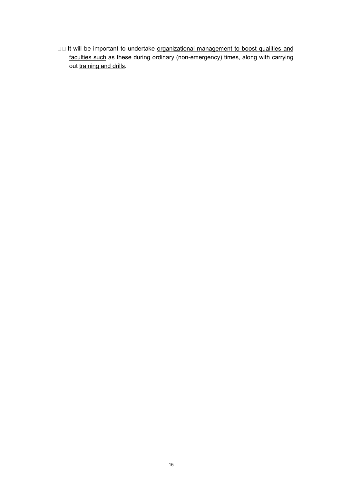□□ It will be important to undertake organizational management to boost qualities and faculties such as these during ordinary (non-emergency) times, along with carrying out training and drills.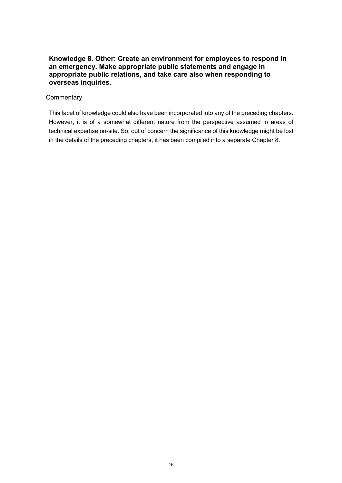## <span id="page-24-0"></span>**Knowledge 8. Other: Create an environment for employees to respond in an emergency. Make appropriate public statements and engage in appropriate public relations, and take care also when responding to overseas inquiries.**

## **Commentary**

This facet of knowledge could also have been incorporated into any of the preceding chapters. However, it is of a somewhat different nature from the perspective assumed in areas of technical expertise on-site. So, out of concern the significance of this knowledge might be lost in the details of the preceding chapters, it has been compiled into a separate Chapter 8.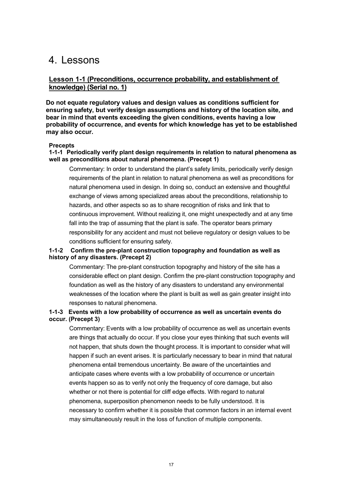## <span id="page-25-0"></span>4. Lessons

## <span id="page-25-1"></span>**Lesson 1-1 (Preconditions, occurrence probability, and establishment of knowledge) (Serial no. 1)**

**Do not equate regulatory values and design values as conditions sufficient for ensuring safety, but verify design assumptions and history of the location site, and bear in mind that events exceeding the given conditions, events having a low probability of occurrence, and events for which knowledge has yet to be established may also occur.**

#### **Precepts**

#### <span id="page-25-2"></span>**1-1-1 Periodically verify plant design requirements in relation to natural phenomena as well as preconditions about natural phenomena. (Precept 1)**

Commentary: In order to understand the plant's safety limits, periodically verify design requirements of the plant in relation to natural phenomena as well as preconditions for natural phenomena used in design. In doing so, conduct an extensive and thoughtful exchange of views among specialized areas about the preconditions, relationship to hazards, and other aspects so as to share recognition of risks and link that to continuous improvement. Without realizing it, one might unexpectedly and at any time fall into the trap of assuming that the plant is safe. The operator bears primary responsibility for any accident and must not believe regulatory or design values to be conditions sufficient for ensuring safety.

## <span id="page-25-3"></span>**1-1-2 Confirm the pre-plant construction topography and foundation as well as history of any disasters. (Precept 2)**

Commentary: The pre-plant construction topography and history of the site has a considerable effect on plant design. Confirm the pre-plant construction topography and foundation as well as the history of any disasters to understand any environmental weaknesses of the location where the plant is built as well as gain greater insight into responses to natural phenomena.

## <span id="page-25-4"></span>**1-1-3 Events with a low probability of occurrence as well as uncertain events do occur. (Precept 3)**

Commentary: Events with a low probability of occurrence as well as uncertain events are things that actually do occur. If you close your eyes thinking that such events will not happen, that shuts down the thought process. It is important to consider what will happen if such an event arises. It is particularly necessary to bear in mind that natural phenomena entail tremendous uncertainty. Be aware of the uncertainties and anticipate cases where events with a low probability of occurrence or uncertain events happen so as to verify not only the frequency of core damage, but also whether or not there is potential for cliff edge effects. With regard to natural phenomena, superposition phenomenon needs to be fully understood. It is necessary to confirm whether it is possible that common factors in an internal event may simultaneously result in the loss of function of multiple components.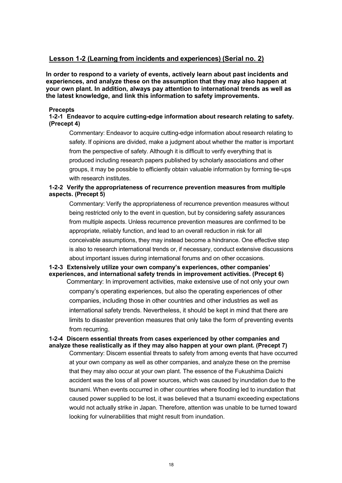## <span id="page-26-0"></span>**Lesson 1-2 (Learning from incidents and experiences) (Serial no. 2)**

**In order to respond to a variety of events, actively learn about past incidents and experiences, and analyze these on the assumption that they may also happen at your own plant. In addition, always pay attention to international trends as well as the latest knowledge, and link this information to safety improvements.**

#### **Precepts**

## <span id="page-26-1"></span>**1-2-1 Endeavor to acquire cutting-edge information about research relating to safety. (Precept 4)**

Commentary: Endeavor to acquire cutting-edge information about research relating to safety. If opinions are divided, make a judgment about whether the matter is important from the perspective of safety. Although it is difficult to verify everything that is produced including research papers published by scholarly associations and other groups, it may be possible to efficiently obtain valuable information by forming tie-ups with research institutes.

## <span id="page-26-2"></span>**1-2-2 Verify the appropriateness of recurrence prevention measures from multiple aspects. (Precept 5)**

Commentary: Verify the appropriateness of recurrence prevention measures without being restricted only to the event in question, but by considering safety assurances from multiple aspects. Unless recurrence prevention measures are confirmed to be appropriate, reliably function, and lead to an overall reduction in risk for all conceivable assumptions, they may instead become a hindrance. One effective step is also to research international trends or, if necessary, conduct extensive discussions about important issues during international forums and on other occasions.

## <span id="page-26-3"></span>**1-2-3 Extensively utilize your own company's experiences, other companies' experiences, and international safety trends in improvement activities. (Precept 6)**

Commentary: In improvement activities, make extensive use of not only your own company's operating experiences, but also the operating experiences of other companies, including those in other countries and other industries as well as international safety trends. Nevertheless, it should be kept in mind that there are limits to disaster prevention measures that only take the form of preventing events from recurring.

#### <span id="page-26-4"></span>**1-2-4 Discern essential threats from cases experienced by other companies and analyze these realistically as if they may also happen at your own plant. (Precept 7)**

Commentary: Discern essential threats to safety from among events that have occurred at your own company as well as other companies, and analyze these on the premise that they may also occur at your own plant. The essence of the Fukushima Daiichi accident was the loss of all power sources, which was caused by inundation due to the tsunami. When events occurred in other countries where flooding led to inundation that caused power supplied to be lost, it was believed that a tsunami exceeding expectations would not actually strike in Japan. Therefore, attention was unable to be turned toward looking for vulnerabilities that might result from inundation.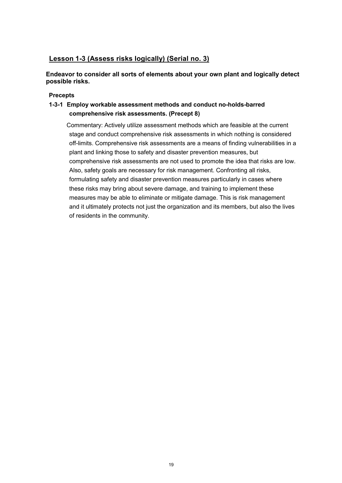## <span id="page-27-0"></span>**Lesson 1-3 (Assess risks logically) (Serial no. 3)**

**Endeavor to consider all sorts of elements about your own plant and logically detect possible risks.**

## **Precepts**

## <span id="page-27-1"></span>**1-3-1 Employ workable assessment methods and conduct no-holds-barred comprehensive risk assessments. (Precept 8)**

Commentary: Actively utilize assessment methods which are feasible at the current stage and conduct comprehensive risk assessments in which nothing is considered off-limits. Comprehensive risk assessments are a means of finding vulnerabilities in a plant and linking those to safety and disaster prevention measures, but comprehensive risk assessments are not used to promote the idea that risks are low. Also, safety goals are necessary for risk management. Confronting all risks, formulating safety and disaster prevention measures particularly in cases where these risks may bring about severe damage, and training to implement these measures may be able to eliminate or mitigate damage. This is risk management and it ultimately protects not just the organization and its members, but also the lives of residents in the community.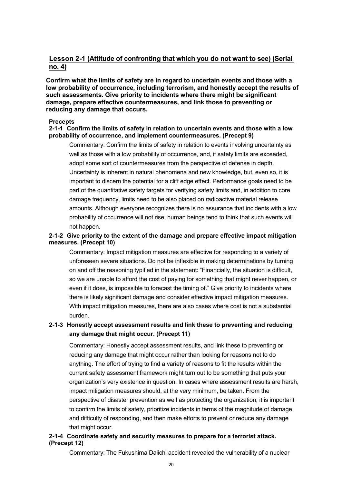## <span id="page-28-0"></span>**Lesson 2-1 (Attitude of confronting that which you do not want to see) (Serial no. 4)**

**Confirm what the limits of safety are in regard to uncertain events and those with a low probability of occurrence, including terrorism, and honestly accept the results of such assessments. Give priority to incidents where there might be significant damage, prepare effective countermeasures, and link those to preventing or reducing any damage that occurs.**

#### **Precepts**

#### <span id="page-28-1"></span>**2-1-1 Confirm the limits of safety in relation to uncertain events and those with a low probability of occurrence, and implement countermeasures. (Precept 9)**

Commentary: Confirm the limits of safety in relation to events involving uncertainty as well as those with a low probability of occurrence, and, if safety limits are exceeded, adopt some sort of countermeasures from the perspective of defense in depth. Uncertainty is inherent in natural phenomena and new knowledge, but, even so, it is important to discern the potential for a cliff edge effect. Performance goals need to be part of the quantitative safety targets for verifying safety limits and, in addition to core damage frequency, limits need to be also placed on radioactive material release amounts. Although everyone recognizes there is no assurance that incidents with a low probability of occurrence will not rise, human beings tend to think that such events will not happen.

## <span id="page-28-2"></span>**2-1-2 Give priority to the extent of the damage and prepare effective impact mitigation measures. (Precept 10)**

Commentary: Impact mitigation measures are effective for responding to a variety of unforeseen severe situations. Do not be inflexible in making determinations by turning on and off the reasoning typified in the statement: "Financially, the situation is difficult, so we are unable to afford the cost of paying for something that might never happen, or even if it does, is impossible to forecast the timing of." Give priority to incidents where there is likely significant damage and consider effective impact mitigation measures. With impact mitigation measures, there are also cases where cost is not a substantial burden.

## <span id="page-28-3"></span>**2-1-3 Honestly accept assessment results and link these to preventing and reducing any damage that might occur. (Precept 11)**

Commentary: Honestly accept assessment results, and link these to preventing or reducing any damage that might occur rather than looking for reasons not to do anything. The effort of trying to find a variety of reasons to fit the results within the current safety assessment framework might turn out to be something that puts your organization's very existence in question. In cases where assessment results are harsh, impact mitigation measures should, at the very minimum, be taken. From the perspective of disaster prevention as well as protecting the organization, it is important to confirm the limits of safety, prioritize incidents in terms of the magnitude of damage and difficulty of responding, and then make efforts to prevent or reduce any damage that might occur.

## <span id="page-28-4"></span>**2-1-4 Coordinate safety and security measures to prepare for a terrorist attack. (Precept 12)**

Commentary: The Fukushima Daiichi accident revealed the vulnerability of a nuclear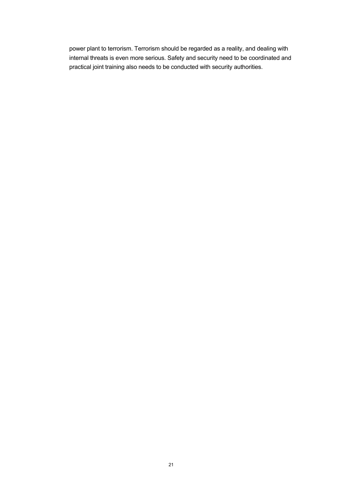power plant to terrorism. Terrorism should be regarded as a reality, and dealing with internal threats is even more serious. Safety and security need to be coordinated and practical joint training also needs to be conducted with security authorities.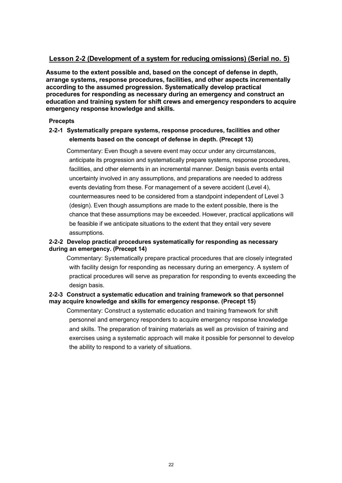## <span id="page-30-0"></span>**Lesson 2-2 (Development of a system for reducing omissions) (Serial no. 5)**

**Assume to the extent possible and, based on the concept of defense in depth, arrange systems, response procedures, facilities, and other aspects incrementally according to the assumed progression. Systematically develop practical procedures for responding as necessary during an emergency and construct an education and training system for shift crews and emergency responders to acquire emergency response knowledge and skills.**

## **Precepts**

## <span id="page-30-1"></span>**2-2-1 Systematically prepare systems, response procedures, facilities and other elements based on the concept of defense in depth. (Precept 13)**

Commentary: Even though a severe event may occur under any circumstances, anticipate its progression and systematically prepare systems, response procedures, facilities, and other elements in an incremental manner. Design basis events entail uncertainty involved in any assumptions, and preparations are needed to address events deviating from these. For management of a severe accident (Level 4), countermeasures need to be considered from a standpoint independent of Level 3 (design). Even though assumptions are made to the extent possible, there is the chance that these assumptions may be exceeded. However, practical applications will be feasible if we anticipate situations to the extent that they entail very severe assumptions.

## <span id="page-30-2"></span>**2-2-2 Develop practical procedures systematically for responding as necessary during an emergency. (Precept 14)**

Commentary: Systematically prepare practical procedures that are closely integrated with facility design for responding as necessary during an emergency. A system of practical procedures will serve as preparation for responding to events exceeding the design basis.

## <span id="page-30-3"></span>**2-2-3 Construct a systematic education and training framework so that personnel may acquire knowledge and skills for emergency response. (Precept 15)**

Commentary: Construct a systematic education and training framework for shift personnel and emergency responders to acquire emergency response knowledge and skills. The preparation of training materials as well as provision of training and exercises using a systematic approach will make it possible for personnel to develop the ability to respond to a variety of situations.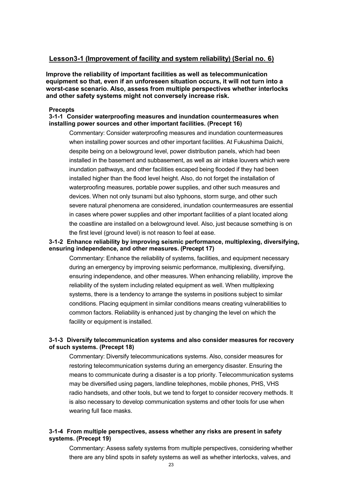## <span id="page-31-0"></span>**Lesson3-1 (Improvement of facility and system reliability) (Serial no. 6)**

**Improve the reliability of important facilities as well as telecommunication equipment so that, even if an unforeseen situation occurs, it will not turn into a worst-case scenario. Also, assess from multiple perspectives whether interlocks and other safety systems might not conversely increase risk.**

## **Precepts**

#### <span id="page-31-1"></span>**3-1-1 Consider waterproofing measures and inundation countermeasures when installing power sources and other important facilities. (Precept 16)**

Commentary: Consider waterproofing measures and inundation countermeasures when installing power sources and other important facilities. At Fukushima Daiichi, despite being on a belowground level, power distribution panels, which had been installed in the basement and subbasement, as well as air intake louvers which were inundation pathways, and other facilities escaped being flooded if they had been installed higher than the flood level height. Also, do not forget the installation of waterproofing measures, portable power supplies, and other such measures and devices. When not only tsunami but also typhoons, storm surge, and other such severe natural phenomena are considered, inundation countermeasures are essential in cases where power supplies and other important facilities of a plant located along the coastline are installed on a belowground level. Also, just because something is on the first level (ground level) is not reason to feel at ease.

### <span id="page-31-2"></span>**3-1-2 Enhance reliability by improving seismic performance, multiplexing, diversifying, ensuring independence, and other measures. (Precept 17)**

Commentary: Enhance the reliability of systems, facilities, and equipment necessary during an emergency by improving seismic performance, multiplexing, diversifying, ensuring independence, and other measures. When enhancing reliability, improve the reliability of the system including related equipment as well. When multiplexing systems, there is a tendency to arrange the systems in positions subject to similar conditions. Placing equipment in similar conditions means creating vulnerabilities to common factors. Reliability is enhanced just by changing the level on which the facility or equipment is installed.

### <span id="page-31-3"></span>**3-1-3 Diversify telecommunication systems and also consider measures for recovery of such systems. (Precept 18)**

Commentary: Diversify telecommunications systems. Also, consider measures for restoring telecommunication systems during an emergency disaster. Ensuring the means to communicate during a disaster is a top priority. Telecommunication systems may be diversified using pagers, landline telephones, mobile phones, PHS, VHS radio handsets, and other tools, but we tend to forget to consider recovery methods. It is also necessary to develop communication systems and other tools for use when wearing full face masks.

## <span id="page-31-4"></span>**3-1-4 From multiple perspectives, assess whether any risks are present in safety systems. (Precept 19)**

Commentary: Assess safety systems from multiple perspectives, considering whether there are any blind spots in safety systems as well as whether interlocks, valves, and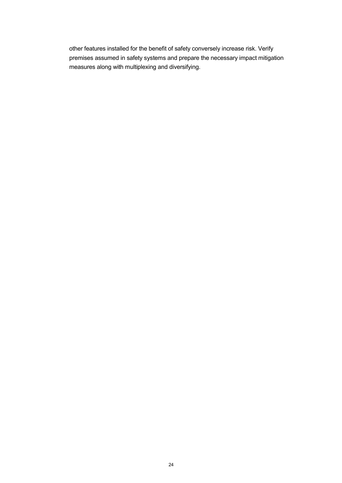other features installed for the benefit of safety conversely increase risk. Verify premises assumed in safety systems and prepare the necessary impact mitigation measures along with multiplexing and diversifying.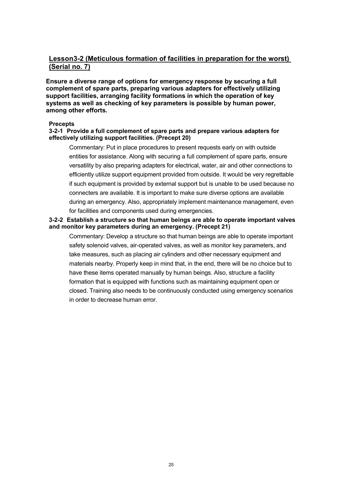## <span id="page-33-0"></span>**Lesson3-2 (Meticulous formation of facilities in preparation for the worst) (Serial no. 7)**

**Ensure a diverse range of options for emergency response by securing a full complement of spare parts, preparing various adapters for effectively utilizing support facilities, arranging facility formations in which the operation of key systems as well as checking of key parameters is possible by human power, among other efforts.**

#### **Precepts**

#### <span id="page-33-1"></span>**3-2-1 Provide a full complement of spare parts and prepare various adapters for effectively utilizing support facilities. (Precept 20)**

Commentary: Put in place procedures to present requests early on with outside entities for assistance. Along with securing a full complement of spare parts, ensure versatility by also preparing adapters for electrical, water, air and other connections to efficiently utilize support equipment provided from outside. It would be very regrettable if such equipment is provided by external support but is unable to be used because no connecters are available. It is important to make sure diverse options are available during an emergency. Also, appropriately implement maintenance management, even for facilities and components used during emergencies.

#### <span id="page-33-2"></span>**3-2-2 Establish a structure so that human beings are able to operate important valves and monitor key parameters during an emergency. (Precept 21)**

Commentary: Develop a structure so that human beings are able to operate important safety solenoid valves, air-operated valves, as well as monitor key parameters, and take measures, such as placing air cylinders and other necessary equipment and materials nearby. Properly keep in mind that, in the end, there will be no choice but to have these items operated manually by human beings. Also, structure a facility formation that is equipped with functions such as maintaining equipment open or closed. Training also needs to be continuously conducted using emergency scenarios in order to decrease human error.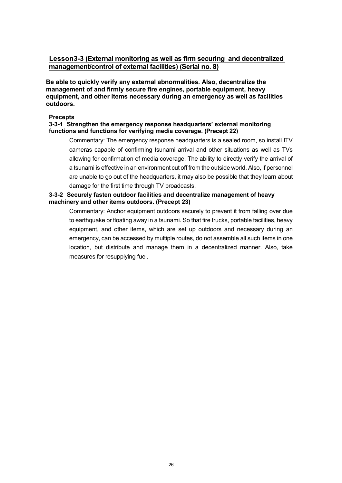## <span id="page-34-0"></span>**Lesson3-3 (External monitoring as well as firm securing and decentralized management/control of external facilities) (Serial no. 8)**

**Be able to quickly verify any external abnormalities. Also, decentralize the management of and firmly secure fire engines, portable equipment, heavy equipment, and other items necessary during an emergency as well as facilities outdoors.**

#### **Precepts**

### <span id="page-34-1"></span>**3-3-1 Strengthen the emergency response headquarters' external monitoring functions and functions for verifying media coverage. (Precept 22)**

Commentary: The emergency response headquarters is a sealed room, so install ITV cameras capable of confirming tsunami arrival and other situations as well as TVs allowing for confirmation of media coverage. The ability to directly verify the arrival of a tsunami is effective in an environment cut off from the outside world. Also, if personnel are unable to go out of the headquarters, it may also be possible that they learn about damage for the first time through TV broadcasts.

## <span id="page-34-2"></span>**3-3-2 Securely fasten outdoor facilities and decentralize management of heavy machinery and other items outdoors. (Precept 23)**

Commentary: Anchor equipment outdoors securely to prevent it from falling over due to earthquake or floating away in a tsunami. So that fire trucks, portable facilities, heavy equipment, and other items, which are set up outdoors and necessary during an emergency, can be accessed by multiple routes, do not assemble all such items in one location, but distribute and manage them in a decentralized manner. Also, take measures for resupplying fuel.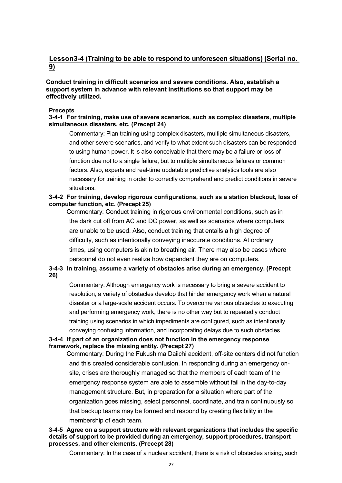## <span id="page-35-0"></span>**Lesson3-4 (Training to be able to respond to unforeseen situations) (Serial no. 9)**

## **Conduct training in difficult scenarios and severe conditions. Also, establish a support system in advance with relevant institutions so that support may be effectively utilized.**

#### **Precepts**

## <span id="page-35-1"></span>**3-4-1 For training, make use of severe scenarios, such as complex disasters, multiple simultaneous disasters, etc. (Precept 24)**

Commentary: Plan training using complex disasters, multiple simultaneous disasters, and other severe scenarios, and verify to what extent such disasters can be responded to using human power. It is also conceivable that there may be a failure or loss of function due not to a single failure, but to multiple simultaneous failures or common factors. Also, experts and real-time updatable predictive analytics tools are also necessary for training in order to correctly comprehend and predict conditions in severe situations.

## <span id="page-35-2"></span>**3-4-2 For training, develop rigorous configurations, such as a station blackout, loss of computer function, etc. (Precept 25)**

Commentary: Conduct training in rigorous environmental conditions, such as in the dark cut off from AC and DC power, as well as scenarios where computers are unable to be used. Also, conduct training that entails a high degree of difficulty, such as intentionally conveying inaccurate conditions. At ordinary times, using computers is akin to breathing air. There may also be cases where personnel do not even realize how dependent they are on computers.

## <span id="page-35-3"></span>**3-4-3 In training, assume a variety of obstacles arise during an emergency. (Precept 26)**

Commentary: Although emergency work is necessary to bring a severe accident to resolution, a variety of obstacles develop that hinder emergency work when a natural disaster or a large-scale accident occurs. To overcome various obstacles to executing and performing emergency work, there is no other way but to repeatedly conduct training using scenarios in which impediments are configured, such as intentionally conveying confusing information, and incorporating delays due to such obstacles.

### <span id="page-35-4"></span>**3-4-4 If part of an organization does not function in the emergency response framework, replace the missing entity. (Precept 27)**

Commentary: During the Fukushima Daiichi accident, off-site centers did not function and this created considerable confusion. In responding during an emergency onsite, crises are thoroughly managed so that the members of each team of the emergency response system are able to assemble without fail in the day-to-day management structure. But, in preparation for a situation where part of the organization goes missing, select personnel, coordinate, and train continuously so that backup teams may be formed and respond by creating flexibility in the membership of each team.

#### <span id="page-35-5"></span>**3-4-5 Agree on a support structure with relevant organizations that includes the specific details of support to be provided during an emergency, support procedures, transport processes, and other elements. (Precept 28)**

Commentary: In the case of a nuclear accident, there is a risk of obstacles arising, such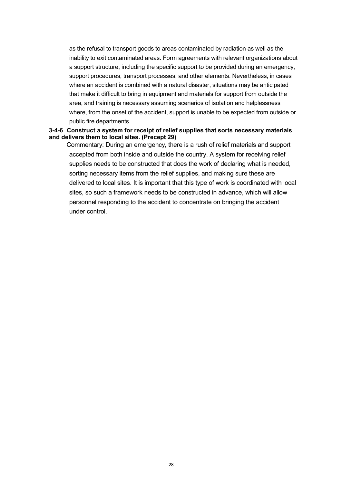as the refusal to transport goods to areas contaminated by radiation as well as the inability to exit contaminated areas. Form agreements with relevant organizations about a support structure, including the specific support to be provided during an emergency, support procedures, transport processes, and other elements. Nevertheless, in cases where an accident is combined with a natural disaster, situations may be anticipated that make it difficult to bring in equipment and materials for support from outside the area, and training is necessary assuming scenarios of isolation and helplessness where, from the onset of the accident, support is unable to be expected from outside or public fire departments.

#### <span id="page-36-0"></span>**3-4-6 Construct a system for receipt of relief supplies that sorts necessary materials and delivers them to local sites. (Precept 29)**

Commentary: During an emergency, there is a rush of relief materials and support accepted from both inside and outside the country. A system for receiving relief supplies needs to be constructed that does the work of declaring what is needed, sorting necessary items from the relief supplies, and making sure these are delivered to local sites. It is important that this type of work is coordinated with local sites, so such a framework needs to be constructed in advance, which will allow personnel responding to the accident to concentrate on bringing the accident under control.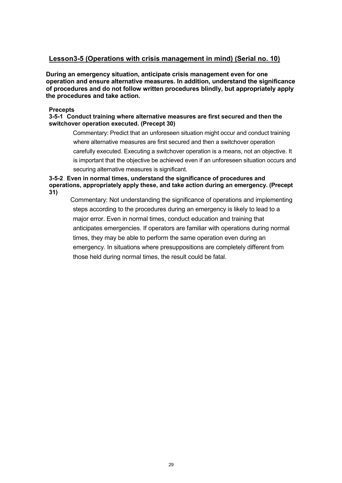## <span id="page-37-0"></span>**Lesson3-5 (Operations with crisis management in mind) (Serial no. 10)**

**During an emergency situation, anticipate crisis management even for one operation and ensure alternative measures. In addition, understand the significance of procedures and do not follow written procedures blindly, but appropriately apply the procedures and take action.**

#### **Precepts**

## <span id="page-37-1"></span>**3-5-1 Conduct training where alternative measures are first secured and then the switchover operation executed. (Precept 30)**

Commentary: Predict that an unforeseen situation might occur and conduct training where alternative measures are first secured and then a switchover operation carefully executed. Executing a switchover operation is a means, not an objective. It is important that the objective be achieved even if an unforeseen situation occurs and securing alternative measures is significant.

## <span id="page-37-2"></span>**3-5-2 Even in normal times, understand the significance of procedures and operations, appropriately apply these, and take action during an emergency. (Precept 31)**

Commentary: Not understanding the significance of operations and implementing steps according to the procedures during an emergency is likely to lead to a major error. Even in normal times, conduct education and training that anticipates emergencies. If operators are familiar with operations during normal times, they may be able to perform the same operation even during an emergency. In situations where presuppositions are completely different from those held during normal times, the result could be fatal.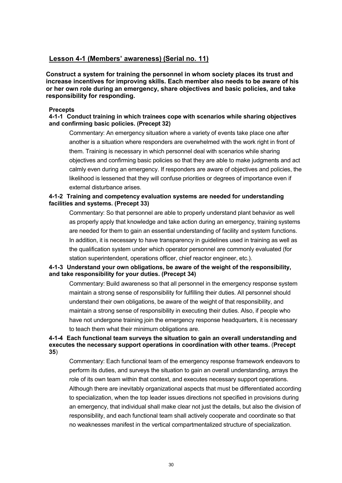## <span id="page-38-0"></span>**Lesson 4-1 (Members' awareness) (Serial no. 11)**

**Construct a system for training the personnel in whom society places its trust and increase incentives for improving skills. Each member also needs to be aware of his or her own role during an emergency, share objectives and basic policies, and take responsibility for responding.**

#### **Precepts**

## <span id="page-38-1"></span>**4-1-1 Conduct training in which trainees cope with scenarios while sharing objectives and confirming basic policies. (Precept 32)**

Commentary: An emergency situation where a variety of events take place one after another is a situation where responders are overwhelmed with the work right in front of them. Training is necessary in which personnel deal with scenarios while sharing objectives and confirming basic policies so that they are able to make judgments and act calmly even during an emergency. If responders are aware of objectives and policies, the likelihood is lessened that they will confuse priorities or degrees of importance even if external disturbance arises.

## <span id="page-38-2"></span>**4-1-2 Training and competency evaluation systems are needed for understanding facilities and systems. (Precept 33)**

Commentary: So that personnel are able to properly understand plant behavior as well as properly apply that knowledge and take action during an emergency, training systems are needed for them to gain an essential understanding of facility and system functions. In addition, it is necessary to have transparency in guidelines used in training as well as the qualification system under which operator personnel are commonly evaluated (for station superintendent, operations officer, chief reactor engineer, etc.).

## <span id="page-38-3"></span>**4-1-3 Understand your own obligations, be aware of the weight of the responsibility, and take responsibility for your duties. (Precept 34)**

Commentary: Build awareness so that all personnel in the emergency response system maintain a strong sense of responsibility for fulfilling their duties. All personnel should understand their own obligations, be aware of the weight of that responsibility, and maintain a strong sense of responsibility in executing their duties. Also, if people who have not undergone training join the emergency response headquarters, it is necessary to teach them what their minimum obligations are.

## <span id="page-38-4"></span>**4-1-4 Each functional team surveys the situation to gain an overall understanding and executes the necessary support operations in coordination with other teams.** (**Precept 35**)

Commentary: Each functional team of the emergency response framework endeavors to perform its duties, and surveys the situation to gain an overall understanding, arrays the role of its own team within that context, and executes necessary support operations. Although there are inevitably organizational aspects that must be differentiated according to specialization, when the top leader issues directions not specified in provisions during an emergency, that individual shall make clear not just the details, but also the division of responsibility, and each functional team shall actively cooperate and coordinate so that no weaknesses manifest in the vertical compartmentalized structure of specialization.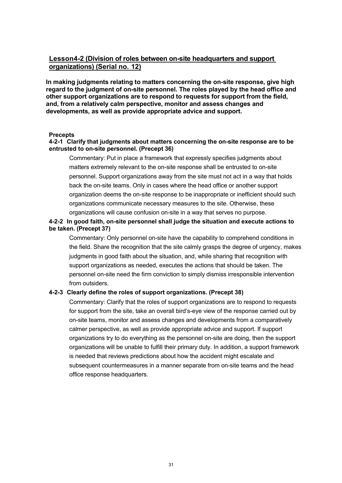## <span id="page-39-0"></span>**Lesson4-2 (Division of roles between on-site headquarters and support organizations) (Serial no. 12)**

**In making judgments relating to matters concerning the on-site response, give high regard to the judgment of on-site personnel. The roles played by the head office and other support organizations are to respond to requests for support from the field, and, from a relatively calm perspective, monitor and assess changes and developments, as well as provide appropriate advice and support.**

#### **Precepts**

#### <span id="page-39-1"></span>**4-2-1 Clarify that judgments about matters concerning the on-site response are to be entrusted to on-site personnel. (Precept 36)**

Commentary: Put in place a framework that expressly specifies judgments about matters extremely relevant to the on-site response shall be entrusted to on-site personnel. Support organizations away from the site must not act in a way that holds back the on-site teams. Only in cases where the head office or another support organization deems the on-site response to be inappropriate or inefficient should such organizations communicate necessary measures to the site. Otherwise, these organizations will cause confusion on-site in a way that serves no purpose.

## <span id="page-39-2"></span>**4-2-2 In good faith, on-site personnel shall judge the situation and execute actions to be taken. (Precept 37)**

Commentary: Only personnel on-site have the capability to comprehend conditions in the field. Share the recognition that the site calmly grasps the degree of urgency, makes judgments in good faith about the situation, and, while sharing that recognition with support organizations as needed, executes the actions that should be taken. The personnel on-site need the firm conviction to simply dismiss irresponsible intervention from outsiders.

#### <span id="page-39-3"></span>**4-2-3 Clearly define the roles of support organizations. (Precept 38)**

Commentary: Clarify that the roles of support organizations are to respond to requests for support from the site, take an overall bird's-eye view of the response carried out by on-site teams, monitor and assess changes and developments from a comparatively calmer perspective, as well as provide appropriate advice and support. If support organizations try to do everything as the personnel on-site are doing, then the support organizations will be unable to fulfill their primary duty. In addition, a support framework is needed that reviews predictions about how the accident might escalate and subsequent countermeasures in a manner separate from on-site teams and the head office response headquarters.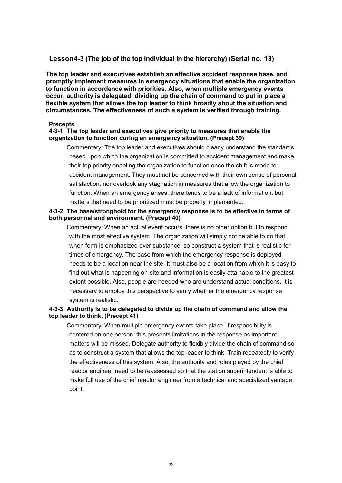## <span id="page-40-0"></span>**Lesson4-3 (The job of the top individual in the hierarchy) (Serial no. 13)**

**The top leader and executives establish an effective accident response base, and promptly implement measures in emergency situations that enable the organization to function in accordance with priorities. Also, when multiple emergency events occur, authority is delegated, dividing up the chain of command to put in place a flexible system that allows the top leader to think broadly about the situation and circumstances. The effectiveness of such a system is verified through training.**

#### **Precepts**

#### <span id="page-40-1"></span>**4-3-1 The top leader and executives give priority to measures that enable the organization to function during an emergency situation. (Precept 39)**

Commentary: The top leader and executives should clearly understand the standards based upon which the organization is committed to accident management and make their top priority enabling the organization to function once the shift is made to accident management. They must not be concerned with their own sense of personal satisfaction, nor overlook any stagnation in measures that allow the organization to function. When an emergency arises, there tends to be a lack of information, but matters that need to be prioritized must be properly implemented.

## <span id="page-40-2"></span>**4-3-2 The base/stronghold for the emergency response is to be effective in terms of both personnel and environment. (Precept 40)**

Commentary: When an actual event occurs, there is no other option but to respond with the most effective system. The organization will simply not be able to do that when form is emphasized over substance, so construct a system that is realistic for times of emergency. The base from which the emergency response is deployed needs to be a location near the site. It must also be a location from which it is easy to find out what is happening on-site and information is easily attainable to the greatest extent possible. Also, people are needed who are understand actual conditions. It is necessary to employ this perspective to verify whether the emergency response system is realistic.

### <span id="page-40-3"></span>**4-3-3 Authority is to be delegated to divide up the chain of command and allow the top leader to think. (Precept 41)**

Commentary: When multiple emergency events take place, if responsibility is centered on one person, this presents limitations in the response as important matters will be missed. Delegate authority to flexibly divide the chain of command so as to construct a system that allows the top leader to think. Train repeatedly to verify the effectiveness of this system. Also, the authority and roles played by the chief reactor engineer need to be reassessed so that the station superintendent is able to make full use of the chief reactor engineer from a technical and specialized vantage point.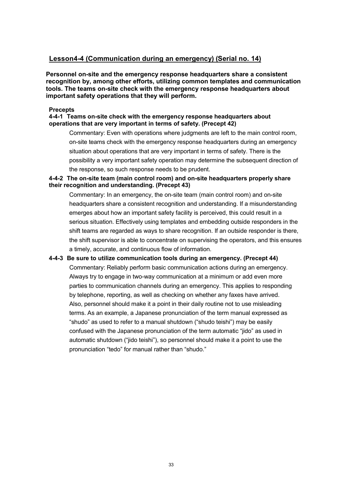## <span id="page-41-0"></span>**Lesson4-4 (Communication during an emergency) (Serial no. 14)**

**Personnel on-site and the emergency response headquarters share a consistent recognition by, among other efforts, utilizing common templates and communication tools. The teams on-site check with the emergency response headquarters about important safety operations that they will perform.**

#### **Precepts**

## <span id="page-41-1"></span>**4-4-1 Teams on-site check with the emergency response headquarters about operations that are very important in terms of safety. (Precept 42)**

Commentary: Even with operations where judgments are left to the main control room, on-site teams check with the emergency response headquarters during an emergency situation about operations that are very important in terms of safety. There is the possibility a very important safety operation may determine the subsequent direction of the response, so such response needs to be prudent.

## <span id="page-41-2"></span>**4-4-2 The on-site team (main control room) and on-site headquarters properly share their recognition and understanding. (Precept 43)**

Commentary: In an emergency, the on-site team (main control room) and on-site headquarters share a consistent recognition and understanding. If a misunderstanding emerges about how an important safety facility is perceived, this could result in a serious situation. Effectively using templates and embedding outside responders in the shift teams are regarded as ways to share recognition. If an outside responder is there, the shift supervisor is able to concentrate on supervising the operators, and this ensures a timely, accurate, and continuous flow of information.

## <span id="page-41-3"></span>**4-4-3 Be sure to utilize communication tools during an emergency. (Precept 44)** Commentary: Reliably perform basic communication actions during an emergency. Always try to engage in two-way communication at a minimum or add even more

parties to communication channels during an emergency. This applies to responding by telephone, reporting, as well as checking on whether any faxes have arrived. Also, personnel should make it a point in their daily routine not to use misleading terms. As an example, a Japanese pronunciation of the term manual expressed as "shudo" as used to refer to a manual shutdown ("shudo teishi") may be easily confused with the Japanese pronunciation of the term automatic "jido" as used in automatic shutdown ("jido teishi"), so personnel should make it a point to use the pronunciation "tedo" for manual rather than "shudo."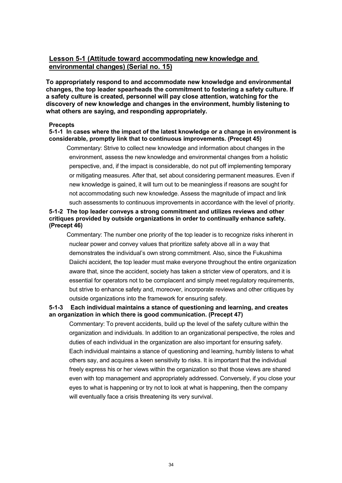## <span id="page-42-0"></span>**Lesson 5-1 (Attitude toward accommodating new knowledge and environmental changes) (Serial no. 15)**

**To appropriately respond to and accommodate new knowledge and environmental changes, the top leader spearheads the commitment to fostering a safety culture. If a safety culture is created, personnel will pay close attention, watching for the discovery of new knowledge and changes in the environment, humbly listening to what others are saying, and responding appropriately.**

#### **Precepts**

#### <span id="page-42-1"></span>**5-1-1 In cases where the impact of the latest knowledge or a change in environment is considerable, promptly link that to continuous improvements. (Precept 45)**

Commentary: Strive to collect new knowledge and information about changes in the environment, assess the new knowledge and environmental changes from a holistic perspective, and, if the impact is considerable, do not put off implementing temporary or mitigating measures. After that, set about considering permanent measures. Even if new knowledge is gained, it will turn out to be meaningless if reasons are sought for not accommodating such new knowledge. Assess the magnitude of impact and link such assessments to continuous improvements in accordance with the level of priority.

## <span id="page-42-2"></span>**5-1-2 The top leader conveys a strong commitment and utilizes reviews and other critiques provided by outside organizations in order to continually enhance safety. (Precept 46)**

Commentary: The number one priority of the top leader is to recognize risks inherent in nuclear power and convey values that prioritize safety above all in a way that demonstrates the individual's own strong commitment. Also, since the Fukushima Daiichi accident, the top leader must make everyone throughout the entire organization aware that, since the accident, society has taken a stricter view of operators, and it is essential for operators not to be complacent and simply meet regulatory requirements, but strive to enhance safety and, moreover, incorporate reviews and other critiques by outside organizations into the framework for ensuring safety.

## <span id="page-42-3"></span>**5-1-3 Each individual maintains a stance of questioning and learning, and creates an organization in which there is good communication. (Precept 47)**

Commentary: To prevent accidents, build up the level of the safety culture within the organization and individuals. In addition to an organizational perspective, the roles and duties of each individual in the organization are also important for ensuring safety. Each individual maintains a stance of questioning and learning, humbly listens to what others say, and acquires a keen sensitivity to risks. It is important that the individual freely express his or her views within the organization so that those views are shared even with top management and appropriately addressed. Conversely, if you close your eyes to what is happening or try not to look at what is happening, then the company will eventually face a crisis threatening its very survival.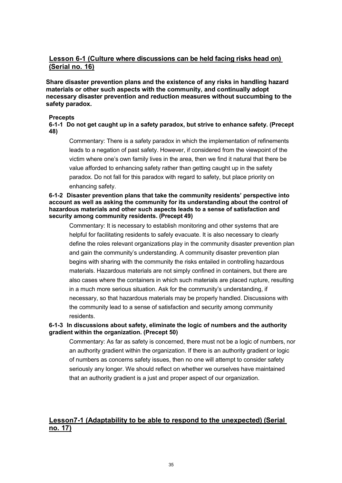## <span id="page-43-0"></span>**Lesson 6-1 (Culture where discussions can be held facing risks head on) (Serial no. 16)**

**Share disaster prevention plans and the existence of any risks in handling hazard materials or other such aspects with the community, and continually adopt necessary disaster prevention and reduction measures without succumbing to the safety paradox.**

#### **Precepts**

<span id="page-43-2"></span>**6-1-1 Do not get caught up in a safety paradox, but strive to enhance safety. (Precept 48)**

Commentary: There is a safety paradox in which the implementation of refinements leads to a negation of past safety. However, if considered from the viewpoint of the victim where one's own family lives in the area, then we find it natural that there be value afforded to enhancing safety rather than getting caught up in the safety paradox. Do not fall for this paradox with regard to safety, but place priority on enhancing safety.

#### <span id="page-43-3"></span>**6-1-2 Disaster prevention plans that take the community residents' perspective into account as well as asking the community for its understanding about the control of hazardous materials and other such aspects leads to a sense of satisfaction and security among community residents. (Precept 49)**

Commentary: It is necessary to establish monitoring and other systems that are helpful for facilitating residents to safely evacuate. It is also necessary to clearly define the roles relevant organizations play in the community disaster prevention plan and gain the community's understanding. A community disaster prevention plan begins with sharing with the community the risks entailed in controlling hazardous materials. Hazardous materials are not simply confined in containers, but there are also cases where the containers in which such materials are placed rupture, resulting in a much more serious situation. Ask for the community's understanding, if necessary, so that hazardous materials may be properly handled. Discussions with the community lead to a sense of satisfaction and security among community residents.

## <span id="page-43-4"></span>**6-1-3 In discussions about safety, eliminate the logic of numbers and the authority gradient within the organization. (Precept 50)**

Commentary: As far as safety is concerned, there must not be a logic of numbers, nor an authority gradient within the organization. If there is an authority gradient or logic of numbers as concerns safety issues, then no one will attempt to consider safety seriously any longer. We should reflect on whether we ourselves have maintained that an authority gradient is a just and proper aspect of our organization.

## <span id="page-43-1"></span>**Lesson7-1 (Adaptability to be able to respond to the unexpected) (Serial no. 17)**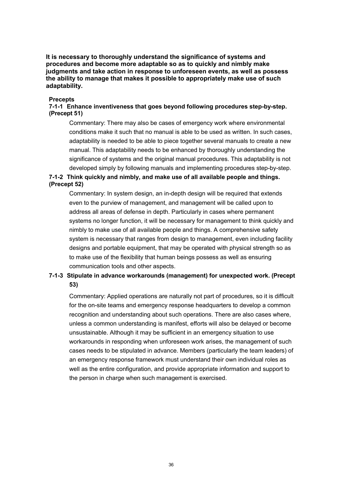**It is necessary to thoroughly understand the significance of systems and procedures and become more adaptable so as to quickly and nimbly make judgments and take action in response to unforeseen events, as well as possess the ability to manage that makes it possible to appropriately make use of such adaptability.**

#### **Precepts**

## <span id="page-44-0"></span>**7-1-1 Enhance inventiveness that goes beyond following procedures step-by-step. (Precept 51)**

Commentary: There may also be cases of emergency work where environmental conditions make it such that no manual is able to be used as written. In such cases, adaptability is needed to be able to piece together several manuals to create a new manual. This adaptability needs to be enhanced by thoroughly understanding the significance of systems and the original manual procedures. This adaptability is not developed simply by following manuals and implementing procedures step-by-step.

## <span id="page-44-1"></span>**7-1-2 Think quickly and nimbly, and make use of all available people and things. (Precept 52)**

Commentary: In system design, an in-depth design will be required that extends even to the purview of management, and management will be called upon to address all areas of defense in depth. Particularly in cases where permanent systems no longer function, it will be necessary for management to think quickly and nimbly to make use of all available people and things. A comprehensive safety system is necessary that ranges from design to management, even including facility designs and portable equipment, that may be operated with physical strength so as to make use of the flexibility that human beings possess as well as ensuring communication tools and other aspects.

## <span id="page-44-2"></span>**7-1-3 Stipulate in advance workarounds (management) for unexpected work. (Precept 53)**

Commentary: Applied operations are naturally not part of procedures, so it is difficult for the on-site teams and emergency response headquarters to develop a common recognition and understanding about such operations. There are also cases where, unless a common understanding is manifest, efforts will also be delayed or become unsustainable. Although it may be sufficient in an emergency situation to use workarounds in responding when unforeseen work arises, the management of such cases needs to be stipulated in advance. Members (particularly the team leaders) of an emergency response framework must understand their own individual roles as well as the entire configuration, and provide appropriate information and support to the person in charge when such management is exercised.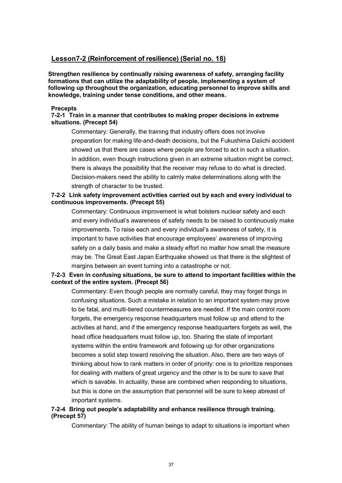## <span id="page-45-0"></span>**Lesson7-2 (Reinforcement of resilience) (Serial no. 18)**

**Strengthen resilience by continually raising awareness of safety, arranging facility formations that can utilize the adaptability of people, implementing a system of following up throughout the organization, educating personnel to improve skills and knowledge, training under tense conditions, and other means.**

#### **Precepts**

#### <span id="page-45-1"></span>**7-2-1 Train in a manner that contributes to making proper decisions in extreme situations. (Precept 54)**

Commentary: Generally, the training that industry offers does not involve preparation for making life-and-death decisions, but the Fukushima Daiichi accident showed us that there are cases where people are forced to act in such a situation. In addition, even though instructions given in an extreme situation might be correct, there is always the possibility that the receiver may refuse to do what is directed. Decision-makers need the ability to calmly make determinations along with the strength of character to be trusted.

## <span id="page-45-2"></span>**7-2-2 Link safety improvement activities carried out by each and every individual to continuous improvements. (Precept 55)**

Commentary: Continuous improvement is what bolsters nuclear safety and each and every individual's awareness of safety needs to be raised to continuously make improvements. To raise each and every individual's awareness of safety, it is important to have activities that encourage employees' awareness of improving safety on a daily basis and make a steady effort no matter how small the measure may be. The Great East Japan Earthquake showed us that there is the slightest of margins between an event turning into a catastrophe or not.

## <span id="page-45-3"></span>**7-2-3 Even in confusing situations, be sure to attend to important facilities within the context of the entire system. (Precept 56)**

Commentary: Even though people are normally careful, they may forget things in confusing situations. Such a mistake in relation to an important system may prove to be fatal, and multi-tiered countermeasures are needed. If the main control room forgets, the emergency response headquarters must follow up and attend to the activities at hand, and if the emergency response headquarters forgets as well, the head office headquarters must follow up, too. Sharing the state of important systems within the entire framework and following up for other organizations becomes a solid step toward resolving the situation. Also, there are two ways of thinking about how to rank matters in order of priority: one is to prioritize responses for dealing with matters of great urgency and the other is to be sure to save that which is savable. In actuality, these are combined when responding to situations, but this is done on the assumption that personnel will be sure to keep abreast of important systems.

## <span id="page-45-4"></span>**7-2-4 Bring out people's adaptability and enhance resilience through training. (Precept 57)**

Commentary: The ability of human beings to adapt to situations is important when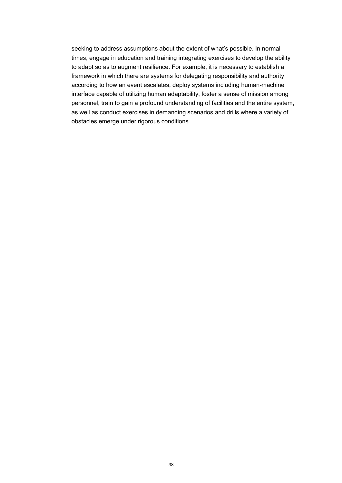seeking to address assumptions about the extent of what's possible. In normal times, engage in education and training integrating exercises to develop the ability to adapt so as to augment resilience. For example, it is necessary to establish a framework in which there are systems for delegating responsibility and authority according to how an event escalates, deploy systems including human-machine interface capable of utilizing human adaptability, foster a sense of mission among personnel, train to gain a profound understanding of facilities and the entire system, as well as conduct exercises in demanding scenarios and drills where a variety of obstacles emerge under rigorous conditions.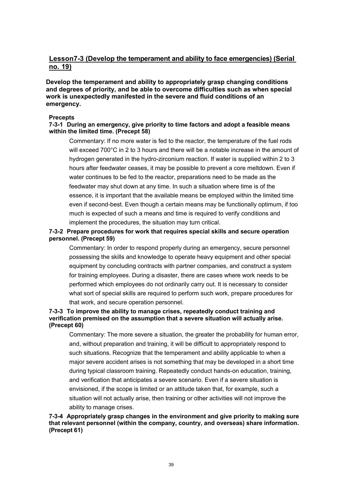## <span id="page-47-0"></span>**Lesson7-3 (Develop the temperament and ability to face emergencies) (Serial no. 19)**

## **Develop the temperament and ability to appropriately grasp changing conditions and degrees of priority, and be able to overcome difficulties such as when special work is unexpectedly manifested in the severe and fluid conditions of an emergency.**

#### **Precepts**

### <span id="page-47-1"></span>**7-3-1 During an emergency, give priority to time factors and adopt a feasible means within the limited time. (Precept 58)**

Commentary: If no more water is fed to the reactor, the temperature of the fuel rods will exceed 700°C in 2 to 3 hours and there will be a notable increase in the amount of hydrogen generated in the hydro-zirconium reaction. If water is supplied within 2 to 3 hours after feedwater ceases, it may be possible to prevent a core meltdown. Even if water continues to be fed to the reactor, preparations need to be made as the feedwater may shut down at any time. In such a situation where time is of the essence, it is important that the available means be employed within the limited time even if second-best. Even though a certain means may be functionally optimum, if too much is expected of such a means and time is required to verify conditions and implement the procedures, the situation may turn critical.

## <span id="page-47-2"></span>**7-3-2 Prepare procedures for work that requires special skills and secure operation personnel. (Precept 59)**

Commentary: In order to respond properly during an emergency, secure personnel possessing the skills and knowledge to operate heavy equipment and other special equipment by concluding contracts with partner companies, and construct a system for training employees. During a disaster, there are cases where work needs to be performed which employees do not ordinarily carry out. It is necessary to consider what sort of special skills are required to perform such work, prepare procedures for that work, and secure operation personnel.

## <span id="page-47-3"></span>**7-3-3 To improve the ability to manage crises, repeatedly conduct training and verification premised on the assumption that a severe situation will actually arise. (Precept 60)**

Commentary: The more severe a situation, the greater the probability for human error, and, without preparation and training, it will be difficult to appropriately respond to such situations. Recognize that the temperament and ability applicable to when a major severe accident arises is not something that may be developed in a short time during typical classroom training. Repeatedly conduct hands-on education, training, and verification that anticipates a severe scenario. Even if a severe situation is envisioned, if the scope is limited or an attitude taken that, for example, such a situation will not actually arise, then training or other activities will not improve the ability to manage crises.

#### <span id="page-47-4"></span>**7-3-4 Appropriately grasp changes in the environment and give priority to making sure that relevant personnel (within the company, country, and overseas) share information. (Precept 61)**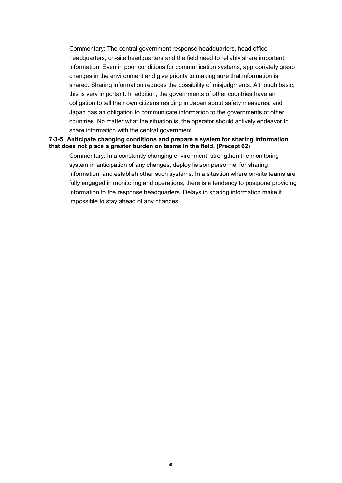Commentary: The central government response headquarters, head office headquarters, on-site headquarters and the field need to reliably share important information. Even in poor conditions for communication systems, appropriately grasp changes in the environment and give priority to making sure that information is shared. Sharing information reduces the possibility of misjudgments. Although basic, this is very important. In addition, the governments of other countries have an obligation to tell their own citizens residing in Japan about safety measures, and Japan has an obligation to communicate information to the governments of other countries. No matter what the situation is, the operator should actively endeavor to share information with the central government.

#### <span id="page-48-0"></span>**7-3-5 Anticipate changing conditions and prepare a system for sharing information that does not place a greater burden on teams in the field. (Precept 62)**

Commentary: In a constantly changing environment, strengthen the monitoring system in anticipation of any changes, deploy liaison personnel for sharing information, and establish other such systems. In a situation where on-site teams are fully engaged in monitoring and operations, there is a tendency to postpone providing information to the response headquarters. Delays in sharing information make it impossible to stay ahead of any changes.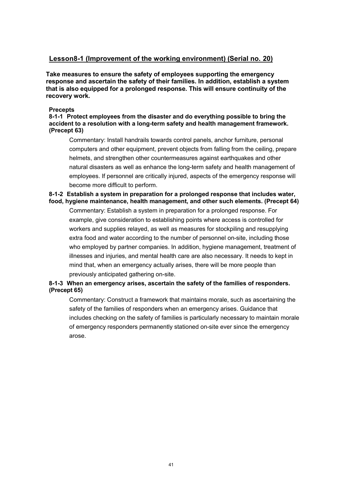## <span id="page-49-0"></span>**Lesson8-1 (Improvement of the working environment) (Serial no. 20)**

**Take measures to ensure the safety of employees supporting the emergency response and ascertain the safety of their families. In addition, establish a system that is also equipped for a prolonged response. This will ensure continuity of the recovery work.**

#### **Precepts**

<span id="page-49-1"></span>**8-1-1 Protect employees from the disaster and do everything possible to bring the accident to a resolution with a long-term safety and health management framework. (Precept 63)**

Commentary: Install handrails towards control panels, anchor furniture, personal computers and other equipment, prevent objects from falling from the ceiling, prepare helmets, and strengthen other countermeasures against earthquakes and other natural disasters as well as enhance the long-term safety and health management of employees. If personnel are critically injured, aspects of the emergency response will become more difficult to perform.

<span id="page-49-2"></span>**8-1-2 Establish a system in preparation for a prolonged response that includes water, food, hygiene maintenance, health management, and other such elements. (Precept 64)**

Commentary: Establish a system in preparation for a prolonged response. For example, give consideration to establishing points where access is controlled for workers and supplies relayed, as well as measures for stockpiling and resupplying extra food and water according to the number of personnel on-site, including those who employed by partner companies. In addition, hygiene management, treatment of illnesses and injuries, and mental health care are also necessary. It needs to kept in mind that, when an emergency actually arises, there will be more people than previously anticipated gathering on-site.

## <span id="page-49-3"></span>**8-1-3 When an emergency arises, ascertain the safety of the families of responders. (Precept 65)**

Commentary: Construct a framework that maintains morale, such as ascertaining the safety of the families of responders when an emergency arises. Guidance that includes checking on the safety of families is particularly necessary to maintain morale of emergency responders permanently stationed on-site ever since the emergency arose.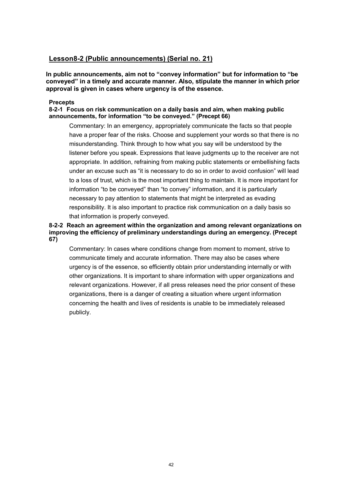## <span id="page-50-0"></span>**Lesson8-2 (Public announcements) (Serial no. 21)**

**In public announcements, aim not to "convey information" but for information to "be conveyed" in a timely and accurate manner. Also, stipulate the manner in which prior approval is given in cases where urgency is of the essence.**

#### **Precepts**

<span id="page-50-1"></span>**8-2-1 Focus on risk communication on a daily basis and aim, when making public announcements, for information "to be conveyed." (Precept 66)**

Commentary: In an emergency, appropriately communicate the facts so that people have a proper fear of the risks. Choose and supplement your words so that there is no misunderstanding. Think through to how what you say will be understood by the listener before you speak. Expressions that leave judgments up to the receiver are not appropriate. In addition, refraining from making public statements or embellishing facts under an excuse such as "it is necessary to do so in order to avoid confusion" will lead to a loss of trust, which is the most important thing to maintain. It is more important for information "to be conveyed" than "to convey" information, and it is particularly necessary to pay attention to statements that might be interpreted as evading responsibility. It is also important to practice risk communication on a daily basis so that information is properly conveyed.

## <span id="page-50-2"></span>**8-2-2 Reach an agreement within the organization and among relevant organizations on improving the efficiency of preliminary understandings during an emergency. (Precept 67)**

Commentary: In cases where conditions change from moment to moment, strive to communicate timely and accurate information. There may also be cases where urgency is of the essence, so efficiently obtain prior understanding internally or with other organizations. It is important to share information with upper organizations and relevant organizations. However, if all press releases need the prior consent of these organizations, there is a danger of creating a situation where urgent information concerning the health and lives of residents is unable to be immediately released publicly.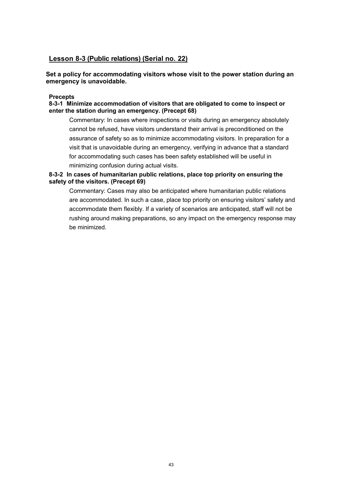## <span id="page-51-0"></span>**Lesson 8-3 (Public relations) (Serial no. 22)**

**Set a policy for accommodating visitors whose visit to the power station during an emergency is unavoidable.**

#### **Precepts**

<span id="page-51-1"></span>**8-3-1 Minimize accommodation of visitors that are obligated to come to inspect or enter the station during an emergency. (Precept 68)**

Commentary: In cases where inspections or visits during an emergency absolutely cannot be refused, have visitors understand their arrival is preconditioned on the assurance of safety so as to minimize accommodating visitors. In preparation for a visit that is unavoidable during an emergency, verifying in advance that a standard for accommodating such cases has been safety established will be useful in minimizing confusion during actual visits.

## <span id="page-51-2"></span>**8-3-2 In cases of humanitarian public relations, place top priority on ensuring the safety of the visitors. (Precept 69)**

Commentary: Cases may also be anticipated where humanitarian public relations are accommodated. In such a case, place top priority on ensuring visitors' safety and accommodate them flexibly. If a variety of scenarios are anticipated, staff will not be rushing around making preparations, so any impact on the emergency response may be minimized.